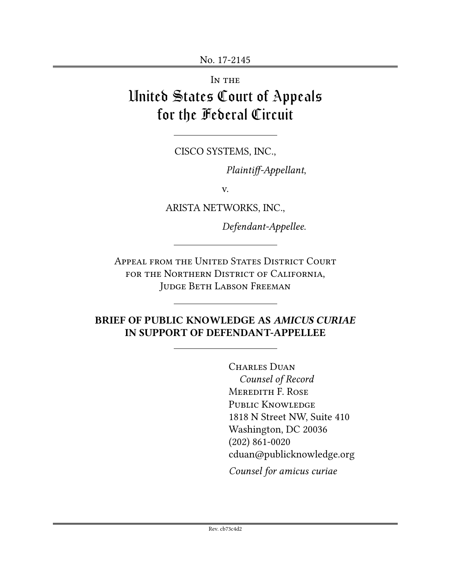IN THE

# United States Court of Appeals for the Federal Circuit

CISCO SYSTEMS, INC.,

*Plaintiff-Appellant*,

v.

ARISTA NETWORKS, INC.,

*Defendant-Appellee*.

Appeal from the United States District Court FOR THE NORTHERN DISTRICT OF CALIFORNIA. Judge Beth Labson Freeman

## **BRIEF OF PUBLIC KNOWLEDGE AS** *AMICUS CURIAE* **IN SUPPORT OF DEFENDANT-APPELLEE**

CHARLES DUAN *Counsel of Record* Meredith F. Rose PUBLIC KNOWLEDGE 1818 N Street NW, Suite 410 Washington, DC 20036 (202) 861-0020 cduan@publicknowledge.org

*Counsel for amicus curiae*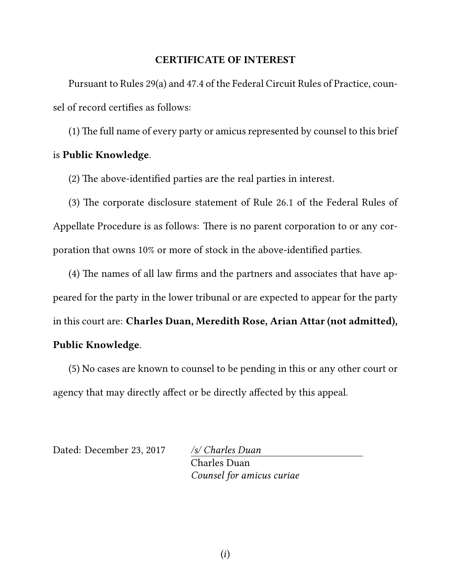#### **CERTIFICATE OF INTEREST**

Pursuant to Rules 29(a) and 47.4 of the Federal Circuit Rules of Practice, counsel of record certifies as follows:

(1) The full name of every party or amicus represented by counsel to this brief is **Public Knowledge**.

(2) The above-identified parties are the real parties in interest.

(3) The corporate disclosure statement of Rule 26.1 of the Federal Rules of Appellate Procedure is as follows: There is no parent corporation to or any corporation that owns 10% or more of stock in the above-identified parties.

(4) The names of all law firms and the partners and associates that have appeared for the party in the lower tribunal or are expected to appear for the party in this court are: **Charles Duan, Meredith Rose, Arian Attar (not admitted), Public Knowledge**.

(5) No cases are known to counsel to be pending in this or any other court or agency that may directly affect or be directly affected by this appeal.

Dated: December 23, 2017 */s/ Charles Duan*

Charles Duan *Counsel for amicus curiae*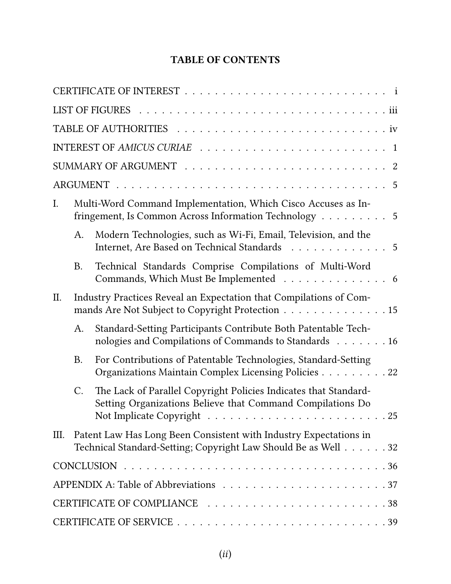# **TABLE OF CONTENTS**

| $I_{\cdot}$ |                                                                                                                        | Multi-Word Command Implementation, Which Cisco Accuses as In-<br>fringement, Is Common Across Information Technology 5              |  |
|-------------|------------------------------------------------------------------------------------------------------------------------|-------------------------------------------------------------------------------------------------------------------------------------|--|
|             | A.                                                                                                                     | Modern Technologies, such as Wi-Fi, Email, Television, and the<br>Internet, Are Based on Technical Standards 5                      |  |
|             | <b>B.</b>                                                                                                              | Technical Standards Comprise Compilations of Multi-Word<br>Commands, Which Must Be Implemented 6                                    |  |
| II.         | Industry Practices Reveal an Expectation that Compilations of Com-<br>mands Are Not Subject to Copyright Protection 15 |                                                                                                                                     |  |
|             | A.                                                                                                                     | Standard-Setting Participants Contribute Both Patentable Tech-<br>nologies and Compilations of Commands to Standards 16             |  |
|             | <b>B.</b>                                                                                                              | For Contributions of Patentable Technologies, Standard-Setting<br>Organizations Maintain Complex Licensing Policies 22              |  |
|             | C.                                                                                                                     | The Lack of Parallel Copyright Policies Indicates that Standard-<br>Setting Organizations Believe that Command Compilations Do      |  |
| Ш.          |                                                                                                                        | Patent Law Has Long Been Consistent with Industry Expectations in<br>Technical Standard-Setting; Copyright Law Should Be as Well 32 |  |
|             |                                                                                                                        |                                                                                                                                     |  |
|             |                                                                                                                        |                                                                                                                                     |  |
|             |                                                                                                                        |                                                                                                                                     |  |
|             |                                                                                                                        |                                                                                                                                     |  |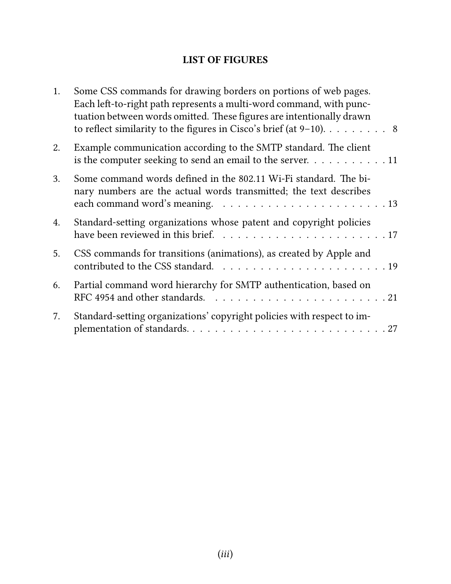# **LIST OF FIGURES**

| 1. | Some CSS commands for drawing borders on portions of web pages.<br>Each left-to-right path represents a multi-word command, with punc-<br>tuation between words omitted. These figures are intentionally drawn<br>to reflect similarity to the figures in Cisco's brief (at $9-10$ ). 8 |
|----|-----------------------------------------------------------------------------------------------------------------------------------------------------------------------------------------------------------------------------------------------------------------------------------------|
| 2. | Example communication according to the SMTP standard. The client<br>is the computer seeking to send an email to the server. $\dots \dots \dots \dots \dots$                                                                                                                             |
| 3. | Some command words defined in the 802.11 Wi-Fi standard. The bi-<br>nary numbers are the actual words transmitted; the text describes                                                                                                                                                   |
| 4. | Standard-setting organizations whose patent and copyright policies                                                                                                                                                                                                                      |
| 5. | CSS commands for transitions (animations), as created by Apple and                                                                                                                                                                                                                      |
| 6. | Partial command word hierarchy for SMTP authentication, based on                                                                                                                                                                                                                        |
| 7. | Standard-setting organizations' copyright policies with respect to im-                                                                                                                                                                                                                  |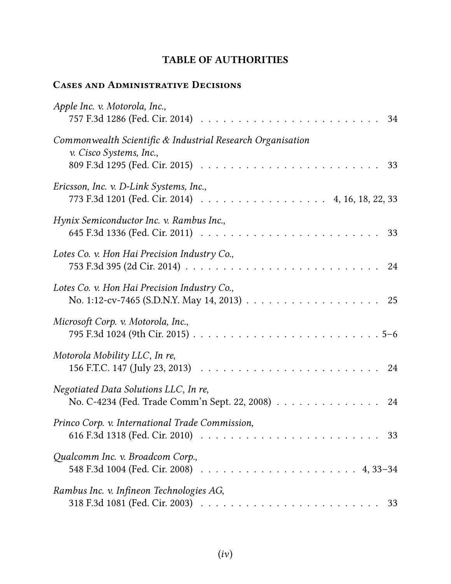# **TABLE OF AUTHORITIES**

# **Cases and Administrative Decisions**

| Apple Inc. v. Motorola, Inc.,<br>34                                                                                                                                 |
|---------------------------------------------------------------------------------------------------------------------------------------------------------------------|
| Commonwealth Scientific & Industrial Research Organisation<br>v. Cisco Systems, Inc.,<br>33                                                                         |
| Ericsson, Inc. v. D-Link Systems, Inc.,<br>773 F.3d 1201 (Fed. Cir. 2014) 4, 16, 18, 22, 33                                                                         |
| Hynix Semiconductor Inc. v. Rambus Inc.,                                                                                                                            |
| Lotes Co. v. Hon Hai Precision Industry Co.,                                                                                                                        |
| Lotes Co. v. Hon Hai Precision Industry Co.,                                                                                                                        |
| Microsoft Corp. v. Motorola, Inc.,                                                                                                                                  |
| Motorola Mobility LLC, In re,                                                                                                                                       |
| Negotiated Data Solutions LLC, In re,<br>No. C-4234 (Fed. Trade Comm'n Sept. 22, 2008) 24                                                                           |
| Princo Corp. v. International Trade Commission,<br>616 F.3d 1318 (Fed. Cir. 2010) $\ldots \ldots \ldots \ldots \ldots \ldots \ldots \ldots \ldots \ldots \ldots 33$ |
| Qualcomm Inc. v. Broadcom Corp.,                                                                                                                                    |
| Rambus Inc. v. Infineon Technologies AG,                                                                                                                            |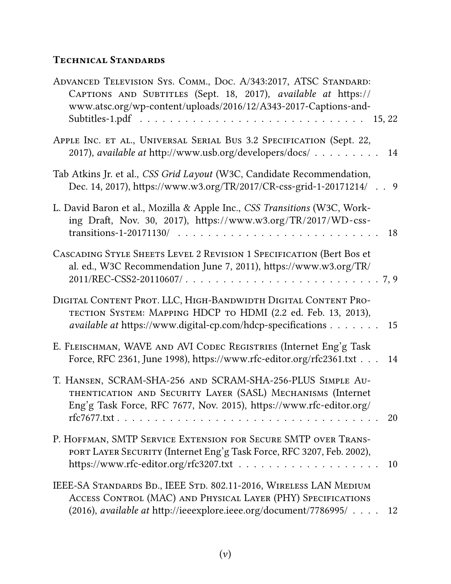# **Technical Standards**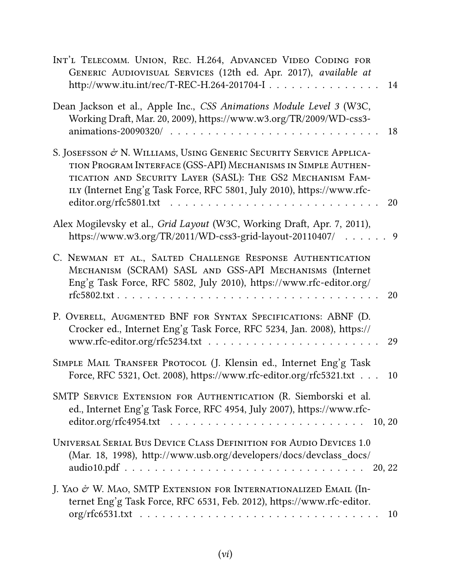| INT'L TELECOMM. UNION, REC. H.264, ADVANCED VIDEO CODING FOR<br>GENERIC AUDIOVISUAL SERVICES (12th ed. Apr. 2017), available at<br>http://www.itu.int/rec/T-REC-H.264-201704-I                                                                                               | 14 |
|------------------------------------------------------------------------------------------------------------------------------------------------------------------------------------------------------------------------------------------------------------------------------|----|
| Dean Jackson et al., Apple Inc., CSS Animations Module Level 3 (W3C,<br>Working Draft, Mar. 20, 2009), https://www.w3.org/TR/2009/WD-css3-                                                                                                                                   | 18 |
| S. JOSEFSSON & N. WILLIAMS, USING GENERIC SECURITY SERVICE APPLICA-<br>TION PROGRAM INTERFACE (GSS-API) MECHANISMS IN SIMPLE AUTHEN-<br>TICATION AND SECURITY LAYER (SASL): THE GS2 MECHANISM FAM-<br>ILY (Internet Eng'g Task Force, RFC 5801, July 2010), https://www.rfc- | 20 |
| Alex Mogilevsky et al., Grid Layout (W3C, Working Draft, Apr. 7, 2011),<br>https://www.w3.org/TR/2011/WD-css3-grid-layout-20110407/ 9                                                                                                                                        |    |
| C. NEWMAN ET AL., SALTED CHALLENGE RESPONSE AUTHENTICATION<br>MECHANISM (SCRAM) SASL AND GSS-API MECHANISMS (Internet<br>Eng'g Task Force, RFC 5802, July 2010), https://www.rfc-editor.org/                                                                                 | 20 |
| P. OVERELL, AUGMENTED BNF FOR SYNTAX SPECIFICATIONS: ABNF (D.<br>Crocker ed., Internet Eng'g Task Force, RFC 5234, Jan. 2008), https://                                                                                                                                      | 29 |
| SIMPLE MAIL TRANSFER PROTOCOL (J. Klensin ed., Internet Eng'g Task<br>Force, RFC 5321, Oct. 2008), https://www.rfc-editor.org/rfc5321.txt                                                                                                                                    | 10 |
| SMTP SERVICE EXTENSION FOR AUTHENTICATION (R. Siemborski et al.<br>ed., Internet Eng'g Task Force, RFC 4954, July 2007), https://www.rfc-                                                                                                                                    |    |
| UNIVERSAL SERIAL BUS DEVICE CLASS DEFINITION FOR AUDIO DEVICES 1.0<br>(Mar. 18, 1998), http://www.usb.org/developers/docs/devclass_docs/                                                                                                                                     |    |
| J. YAO & W. MAO, SMTP EXTENSION FOR INTERNATIONALIZED EMAIL (In-<br>ternet Eng'g Task Force, RFC 6531, Feb. 2012), https://www.rfc-editor.                                                                                                                                   | 10 |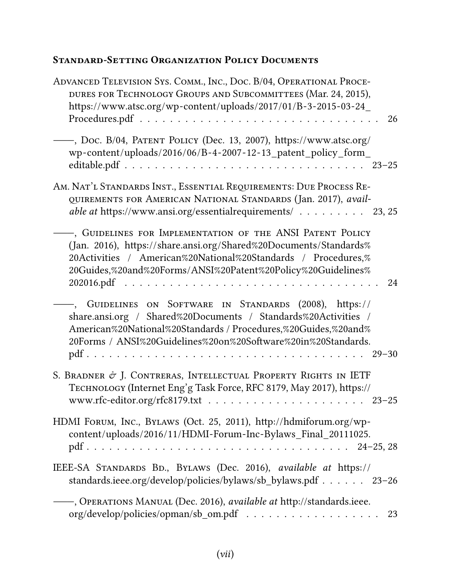# **Standard-Setting Organization Policy Documents**

| ADVANCED TELEVISION SYS. COMM., INC., DOC. B/04, OPERATIONAL PROCE-<br>DURES FOR TECHNOLOGY GROUPS AND SUBCOMMITTEES (Mar. 24, 2015),<br>https://www.atsc.org/wp-content/uploads/2017/01/B-3-2015-03-24_                                                               |
|------------------------------------------------------------------------------------------------------------------------------------------------------------------------------------------------------------------------------------------------------------------------|
| - 26                                                                                                                                                                                                                                                                   |
| -, Doc. B/04, PATENT POLICY (Dec. 13, 2007), https://www.atsc.org/<br>wp-content/uploads/2016/06/B-4-2007-12-13_patent_policy_form_                                                                                                                                    |
| AM. NAT'L STANDARDS INST., ESSENTIAL REQUIREMENTS: DUE PROCESS RE-<br>QUIREMENTS FOR AMERICAN NATIONAL STANDARDS (Jan. 2017), avail-<br><i>able at https://www.ansi.org/essentialrequirements/</i> 23, 25                                                              |
| , GUIDELINES FOR IMPLEMENTATION OF THE ANSI PATENT POLICY<br>(Jan. 2016), https://share.ansi.org/Shared%20Documents/Standards%<br>20Activities / American%20National%20Standards / Procedures,%<br>20Guides,%20and%20Forms/ANSI%20Patent%20Policy%20Guidelines%<br>24  |
| GUIDELINES ON SOFTWARE IN STANDARDS (2008), https://<br>share.ansi.org / Shared%20Documents / Standards%20Activities /<br>American%20National%20Standards / Procedures,%20Guides,%20and%<br>20Forms / ANSI%20Guidelines%20on%20Software%20in%20Standards.<br>$29 - 30$ |
| S. BRADNER & J. CONTRERAS, INTELLECTUAL PROPERTY RIGHTS IN IETF<br>TECHNOLOGY (Internet Eng'g Task Force, RFC 8179, May 2017), https://                                                                                                                                |
| HDMI FORUM, INC., BYLAWS (Oct. 25, 2011), http://hdmiforum.org/wp-<br>content/uploads/2016/11/HDMI-Forum-Inc-Bylaws_Final_20111025.                                                                                                                                    |
| IEEE-SA STANDARDS BD., BYLAWS (Dec. 2016), available at https://<br>standards.ieee.org/develop/policies/bylaws/sb_bylaws.pdf 23-26                                                                                                                                     |
| -, OPERATIONS MANUAL (Dec. 2016), available at http://standards.ieee.<br>23                                                                                                                                                                                            |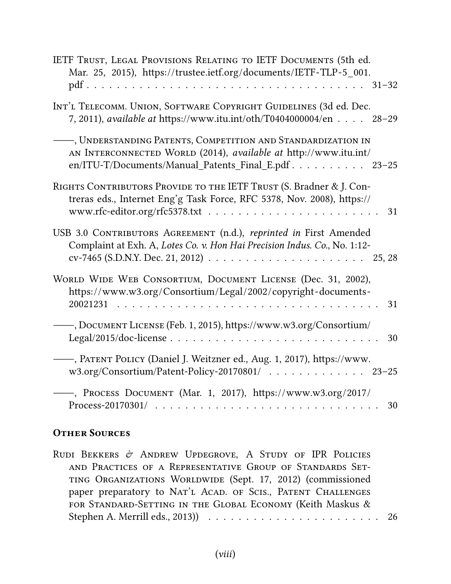| IETF TRUST, LEGAL PROVISIONS RELATING TO IETF DOCUMENTS (5th ed.<br>Mar. 25, 2015), https://trustee.ietf.org/documents/IETF-TLP-5_001.                                                                                |    |
|-----------------------------------------------------------------------------------------------------------------------------------------------------------------------------------------------------------------------|----|
| INT'L TELECOMM. UNION, SOFTWARE COPYRIGHT GUIDELINES (3d ed. Dec.<br>7, 2011), available at https://www.itu.int/oth/T0404000004/en 28-29                                                                              |    |
| , UNDERSTANDING PATENTS, COMPETITION AND STANDARDIZATION IN<br>AN INTERCONNECTED WORLD (2014), available at http://www.itu.int/<br>en/ITU-T/Documents/Manual_Patents_Final_E.pdf 23-25                                |    |
| RIGHTS CONTRIBUTORS PROVIDE TO THE IETF TRUST (S. Bradner & J. Con-<br>treras eds., Internet Eng'g Task Force, RFC 5378, Nov. 2008), https://                                                                         | 31 |
| USB 3.0 CONTRIBUTORS AGREEMENT (n.d.), reprinted in First Amended<br>Complaint at Exh. A, Lotes Co. v. Hon Hai Precision Indus. Co., No. 1:12-                                                                        |    |
| WORLD WIDE WEB CONSORTIUM, DOCUMENT LICENSE (Dec. 31, 2002),<br>https://www.w3.org/Consortium/Legal/2002/copyright-documents-<br>20021231<br>$\mathbf{r}$ , $\mathbf{r}$ , $\mathbf{r}$ , $\mathbf{r}$ , $\mathbf{r}$ | 31 |
| -, Document License (Feb. 1, 2015), https://www.w3.org/Consortium/                                                                                                                                                    | 30 |
| -, PATENT POLICY (Daniel J. Weitzner ed., Aug. 1, 2017), https://www.<br>w3.org/Consortium/Patent-Policy-20170801/ 23-25                                                                                              |    |
| -, PROCESS DOCUMENT (Mar. 1, 2017), https://www.w3.org/2017/                                                                                                                                                          | 30 |

# **Other Sources**

| RUDI BEKKERS $\mathcal O$ ANDREW UPDEGROVE, A STUDY OF IPR POLICIES |  |
|---------------------------------------------------------------------|--|
| AND PRACTICES OF A REPRESENTATIVE GROUP OF STANDARDS SET-           |  |
| TING ORGANIZATIONS WORLDWIDE (Sept. 17, 2012) (commissioned         |  |
| paper preparatory to NAT'L ACAD. OF SCIS., PATENT CHALLENGES        |  |
| FOR STANDARD-SETTING IN THE GLOBAL ECONOMY (Keith Maskus &          |  |
|                                                                     |  |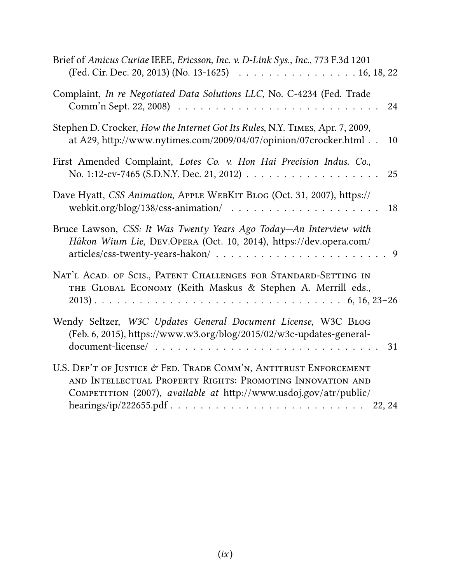| Brief of Amicus Curiae IEEE, Ericsson, Inc. v. D-Link Sys., Inc., 773 F.3d 1201<br>(Fed. Cir. Dec. 20, 2013) (No. 13-1625) 16, 18, 22                                                                                                           |
|-------------------------------------------------------------------------------------------------------------------------------------------------------------------------------------------------------------------------------------------------|
| Complaint, In re Negotiated Data Solutions LLC, No. C-4234 (Fed. Trade<br>24                                                                                                                                                                    |
| Stephen D. Crocker, How the Internet Got Its Rules, N.Y. TIMES, Apr. 7, 2009,<br>at A29, http://www.nytimes.com/2009/04/07/opinion/07crocker.html<br>10                                                                                         |
| First Amended Complaint, Lotes Co. v. Hon Hai Precision Indus. Co.,<br>25                                                                                                                                                                       |
| Dave Hyatt, CSS Animation, APPLE WEBKIT BLOG (Oct. 31, 2007), https://<br>webkit.org/blog/138/css-animation/ $\ldots \ldots \ldots \ldots \ldots \ldots$<br>18                                                                                  |
| Bruce Lawson, CSS: It Was Twenty Years Ago Today-An Interview with<br>Håkon Wium Lie, DEV.OPERA (Oct. 10, 2014), https://dev.opera.com/                                                                                                         |
| NAT'L ACAD. OF SCIS., PATENT CHALLENGES FOR STANDARD-SETTING IN<br>THE GLOBAL ECONOMY (Keith Maskus & Stephen A. Merrill eds.,                                                                                                                  |
| Wendy Seltzer, W3C Updates General Document License, W3C BLOG<br>(Feb. 6, 2015), https://www.w3.org/blog/2015/02/w3c-updates-general-<br>$document\text{-}license / \dots \dots \dots \dots \dots \dots \dots \dots \dots \dots \dots \dots 31$ |
| U.S. DEP'T OF JUSTICE $\mathcal O$ FED. TRADE COMM'N, ANTITRUST ENFORCEMENT<br>AND INTELLECTUAL PROPERTY RIGHTS: PROMOTING INNOVATION AND<br>COMPETITION (2007), available at http://www.usdoj.gov/atr/public/                                  |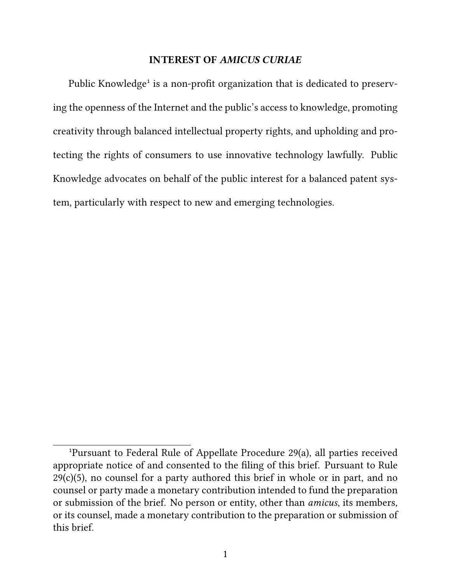#### **INTEREST OF** *AMICUS CURIAE*

Public Knowledge<sup>1</sup> is a non-profit organization that is dedicated to preserving the openness of the Internet and the public's access to knowledge, promoting creativity through balanced intellectual property rights, and upholding and protecting the rights of consumers to use innovative technology lawfully. Public Knowledge advocates on behalf of the public interest for a balanced patent system, particularly with respect to new and emerging technologies.

<sup>&</sup>lt;sup>1</sup>Pursuant to Federal Rule of Appellate Procedure 29(a), all parties received appropriate notice of and consented to the filing of this brief. Pursuant to Rule  $29(c)(5)$ , no counsel for a party authored this brief in whole or in part, and no counsel or party made a monetary contribution intended to fund the preparation or submission of the brief. No person or entity, other than *amicus*, its members, or its counsel, made a monetary contribution to the preparation or submission of this brief.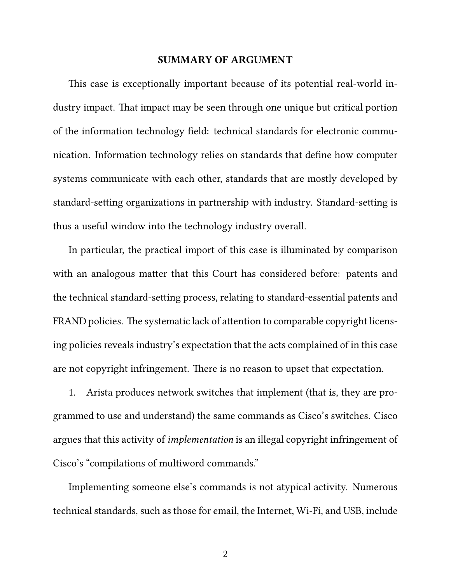#### **SUMMARY OF ARGUMENT**

This case is exceptionally important because of its potential real-world industry impact. That impact may be seen through one unique but critical portion of the information technology field: technical standards for electronic communication. Information technology relies on standards that define how computer systems communicate with each other, standards that are mostly developed by standard-setting organizations in partnership with industry. Standard-setting is thus a useful window into the technology industry overall.

In particular, the practical import of this case is illuminated by comparison with an analogous matter that this Court has considered before: patents and the technical standard-setting process, relating to standard-essential patents and FRAND policies. The systematic lack of attention to comparable copyright licensing policies reveals industry's expectation that the acts complained of in this case are not copyright infringement. There is no reason to upset that expectation.

1. Arista produces network switches that implement (that is, they are programmed to use and understand) the same commands as Cisco's switches. Cisco argues that this activity of *implementation* is an illegal copyright infringement of Cisco's "compilations of multiword commands."

Implementing someone else's commands is not atypical activity. Numerous technical standards, such as those for email, the Internet, Wi-Fi, and USB, include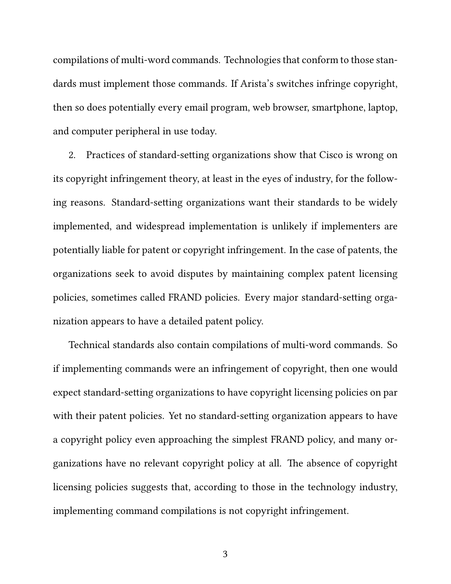compilations of multi-word commands. Technologies that conform to those standards must implement those commands. If Arista's switches infringe copyright, then so does potentially every email program, web browser, smartphone, laptop, and computer peripheral in use today.

2. Practices of standard-setting organizations show that Cisco is wrong on its copyright infringement theory, at least in the eyes of industry, for the following reasons. Standard-setting organizations want their standards to be widely implemented, and widespread implementation is unlikely if implementers are potentially liable for patent or copyright infringement. In the case of patents, the organizations seek to avoid disputes by maintaining complex patent licensing policies, sometimes called FRAND policies. Every major standard-setting organization appears to have a detailed patent policy.

Technical standards also contain compilations of multi-word commands. So if implementing commands were an infringement of copyright, then one would expect standard-setting organizations to have copyright licensing policies on par with their patent policies. Yet no standard-setting organization appears to have a copyright policy even approaching the simplest FRAND policy, and many organizations have no relevant copyright policy at all. The absence of copyright licensing policies suggests that, according to those in the technology industry, implementing command compilations is not copyright infringement.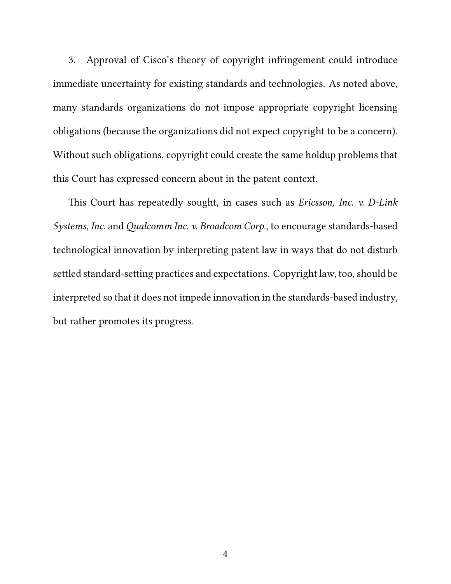3. Approval of Cisco's theory of copyright infringement could introduce immediate uncertainty for existing standards and technologies. As noted above, many standards organizations do not impose appropriate copyright licensing obligations (because the organizations did not expect copyright to be a concern). Without such obligations, copyright could create the same holdup problems that this Court has expressed concern about in the patent context.

This Court has repeatedly sought, in cases such as *Ericsson, Inc. v. D-Link Systems, Inc.* and *Qualcomm Inc. v. Broadcom Corp.*, to encourage standards-based technological innovation by interpreting patent law in ways that do not disturb settled standard-setting practices and expectations. Copyright law, too, should be interpreted so that it does not impede innovation in the standards-based industry, but rather promotes its progress.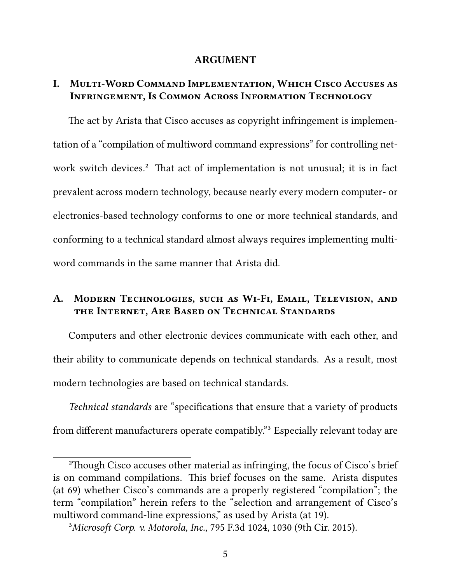#### **ARGUMENT**

### **I. Multi-Word Command Implementation, Which Cisco Accuses as Infringement, Is Common Across Information Technology**

The act by Arista that Cisco accuses as copyright infringement is implementation of a "compilation of multiword command expressions" for controlling network switch devices.<sup>2</sup> That act of implementation is not unusual; it is in fact prevalent across modern technology, because nearly every modern computer- or electronics-based technology conforms to one or more technical standards, and conforming to a technical standard almost always requires implementing multiword commands in the same manner that Arista did.

## **A. Modern Technologies, such as Wi-Fi, Email, Television, and the Internet, Are Based on Technical Standards**

Computers and other electronic devices communicate with each other, and their ability to communicate depends on technical standards. As a result, most modern technologies are based on technical standards.

*Technical standards* are "specifications that ensure that a variety of products from different manufacturers operate compatibly."<sup>3</sup> Especially relevant today are

²Though Cisco accuses other material as infringing, the focus of Cisco's brief is on command compilations. This brief focuses on the same. Arista disputes (at 69) whether Cisco's commands are a properly registered "compilation"; the term "compilation" herein refers to the "selection and arrangement of Cisco's multiword command-line expressions," as used by Arista (at 19).

³*Microsoft Corp. v. Motorola, Inc.*, 795 F.3d 1024, 1030 (9th Cir. 2015).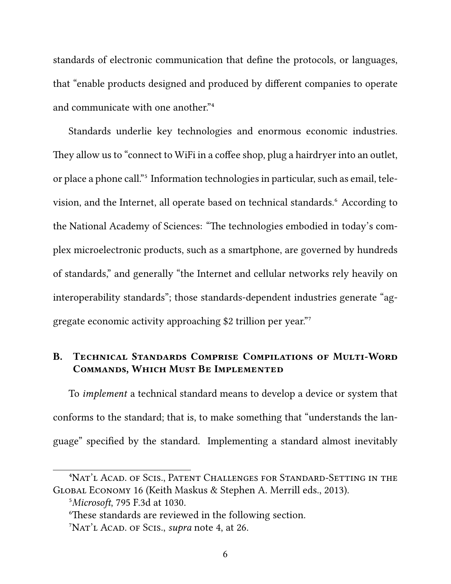standards of electronic communication that define the protocols, or languages, that "enable products designed and produced by different companies to operate and communicate with one another."<sup>4</sup>

Standards underlie key technologies and enormous economic industries. They allow us to "connect to WiFi in a coffee shop, plug a hairdryer into an outlet, or place a phone call."<sup>5</sup> Information technologies in particular, such as email, television, and the Internet, all operate based on technical standards.⁶ According to the National Academy of Sciences: "The technologies embodied in today's complex microelectronic products, such as a smartphone, are governed by hundreds of standards," and generally "the Internet and cellular networks rely heavily on interoperability standards"; those standards-dependent industries generate "aggregate economic activity approaching \$2 trillion per year."

## **B. Technical Standards Comprise Compilations of Multi-Word Commands, Which Must Be Implemented**

To *implement* a technical standard means to develop a device or system that conforms to the standard; that is, to make something that "understands the language" specified by the standard. Implementing a standard almost inevitably

<sup>&</sup>lt;sup>4</sup>Nat'l Acad. of Scis., Patent Challenges for Standard-Setting in the Global Economy 16 (Keith Maskus & Stephen A. Merrill eds., 2013).

⁵*Microsoft*, 795 F.3d at 1030.

⁶These standards are reviewed in the following section.

<sup>&</sup>lt;sup>7</sup>Nat<sup>'</sup>L Acad. of Scis., *supra* note 4, at 26.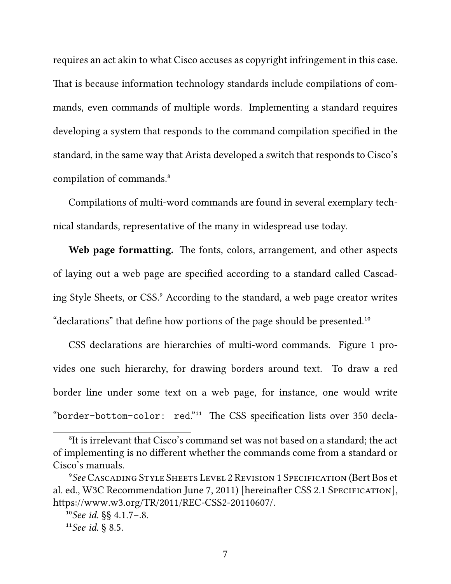requires an act akin to what Cisco accuses as copyright infringement in this case. That is because information technology standards include compilations of commands, even commands of multiple words. Implementing a standard requires developing a system that responds to the command compilation specified in the standard, in the same way that Arista developed a switch that responds to Cisco's compilation of commands.<sup>8</sup>

Compilations of multi-word commands are found in several exemplary technical standards, representative of the many in widespread use today.

**Web page formatting.** The fonts, colors, arrangement, and other aspects of laying out a web page are specified according to a standard called Cascading Style Sheets, or CSS.<sup>9</sup> According to the standard, a web page creator writes "declarations" that define how portions of the page should be presented.<sup>10</sup>

CSS declarations are hierarchies of multi-word commands. Figure 1 provides one such hierarchy, for drawing borders around text. To draw a red border line under some text on a web page, for instance, one would write "border-bottom-color: red."<sup>11</sup> The CSS specification lists over 350 decla-

<sup>&</sup>lt;sup>8</sup>It is irrelevant that Cisco's command set was not based on a standard; the act of implementing is no different whether the commands come from a standard or Cisco's manuals.

⁹*See* Cascading Style Sheets Level 2 Revision 1 Specification (Bert Bos et al. ed., W3C Recommendation June 7, 2011) [hereinafter CSS 2.1 SPECIFICATION], https://www.w3.org/TR/2011/REC-CSS2-20110607/.

¹⁰*See id.* §§ 4.1.7–.8.

 $^{11}$ *See id.* § 8.5.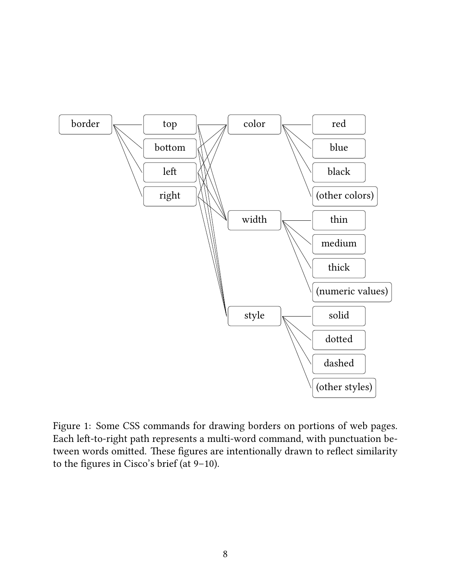

Figure 1: Some CSS commands for drawing borders on portions of web pages. Each left-to-right path represents a multi-word command, with punctuation between words omitted. These figures are intentionally drawn to reflect similarity to the figures in Cisco's brief (at 9–10).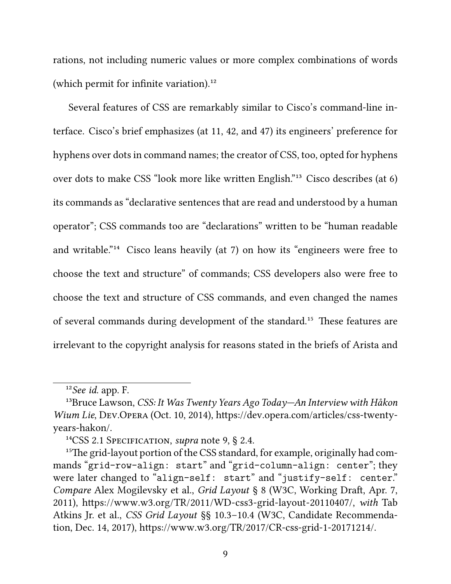rations, not including numeric values or more complex combinations of words (which permit for infinite variation). $^{12}$ 

Several features of CSS are remarkably similar to Cisco's command-line interface. Cisco's brief emphasizes (at 11, 42, and 47) its engineers' preference for hyphens over dots in command names; the creator of CSS, too, opted for hyphens over dots to make CSS "look more like written English."<sup>13</sup> Cisco describes (at 6) its commands as "declarative sentences that are read and understood by a human operator"; CSS commands too are "declarations" written to be "human readable and writable."<sup>14</sup> Cisco leans heavily (at 7) on how its "engineers were free to choose the text and structure" of commands; CSS developers also were free to choose the text and structure of CSS commands, and even changed the names of several commands during development of the standard.<sup>15</sup> These features are irrelevant to the copyright analysis for reasons stated in the briefs of Arista and

<sup>&</sup>lt;sup>12</sup>See id. app. F.

<sup>&</sup>lt;sup>13</sup>Bruce Lawson, *CSS: It Was Twenty Years Ago Today—An Interview with Håkon Wium Lie*, Dev.Opera (Oct. 10, 2014), https://dev.opera.com/articles/css-twentyyears-hakon/.

<sup>&</sup>lt;sup>14</sup>CSS 2.1 SPECIFICATION, *supra* note 9, § 2.4.

<sup>&</sup>lt;sup>15</sup>The grid-layout portion of the CSS standard, for example, originally had commands "grid-row-align: start" and "grid-column-align: center"; they were later changed to "align-self: start" and "justify-self: center." *Compare* Alex Mogilevsky et al., *Grid Layout* § 8 (W3C, Working Draft, Apr. 7, 2011), https://www.w3.org/TR/2011/WD-css3-grid-layout-20110407/, *with* Tab Atkins Jr. et al., *CSS Grid Layout* §§ 10.3–10.4 (W3C, Candidate Recommendation, Dec. 14, 2017), https://www.w3.org/TR/2017/CR-css-grid-1-20171214/.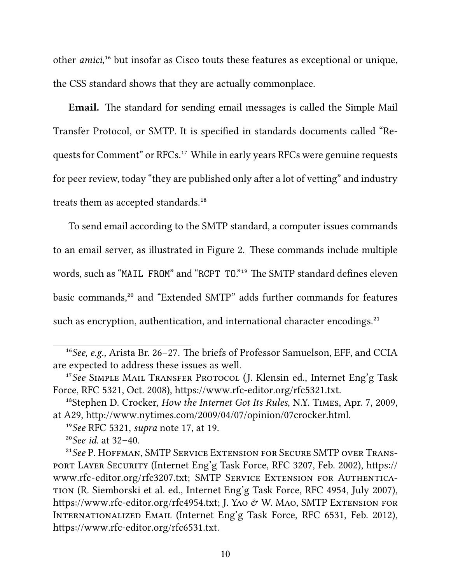other *amici*,<sup>16</sup> but insofar as Cisco touts these features as exceptional or unique, the CSS standard shows that they are actually commonplace.

**Email.** The standard for sending email messages is called the Simple Mail Transfer Protocol, or SMTP. It is specified in standards documents called "Requests for Comment" or RFCs.<sup>17</sup> While in early years RFCs were genuine requests for peer review, today "they are published only after a lot of vetting" and industry treats them as accepted standards.<sup>18</sup>

To send email according to the SMTP standard, a computer issues commands to an email server, as illustrated in Figure 2. These commands include multiple words, such as "MAIL FROM" and "RCPT TO."<sup>19</sup> The SMTP standard defines eleven basic commands,<sup>20</sup> and "Extended SMTP" adds further commands for features such as encryption, authentication, and international character encodings.<sup>21</sup>

<sup>&</sup>lt;sup>16</sup> See, e.g., Arista Br. 26–27. The briefs of Professor Samuelson, EFF, and CCIA are expected to address these issues as well.

<sup>&</sup>lt;sup>17</sup>See SIMPLE MAIL TRANSFER PROTOCOL (J. Klensin ed., Internet Eng'g Task Force, RFC 5321, Oct. 2008), https://www.rfc-editor.org/rfc5321.txt.

<sup>&</sup>lt;sup>18</sup>Stephen D. Crocker, *How the Internet Got Its Rules*, N.Y. TIMES, Apr. 7, 2009, at A29, http://www.nytimes.com/2009/04/07/opinion/07crocker.html.

¹⁹*See* RFC 5321, *supra* note 17, at 19.

²⁰*See id.* at 32–40.

<sup>&</sup>lt;sup>21</sup> See P. HOFFMAN, SMTP SERVICE EXTENSION FOR SECURE SMTP OVER TRANSport Layer Security (Internet Eng'g Task Force, RFC 3207, Feb. 2002), https:// www.rfc-editor.org/rfc3207.txt; SMTP Service Extension for Authentication (R. Siemborski et al. ed., Internet Eng'g Task Force, RFC 4954, July 2007), https://www.rfc-editor.org/rfc4954.txt; J. Yao  $\dot{\sigma}$  W. Mao, SMTP Extension for Internationalized Email (Internet Eng'g Task Force, RFC 6531, Feb. 2012), https://www.rfc-editor.org/rfc6531.txt.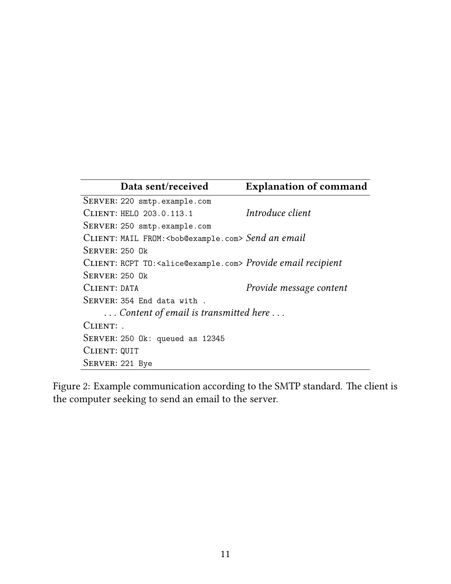|                                      | Data sent/received                                                               | <b>Explanation of command</b> |
|--------------------------------------|----------------------------------------------------------------------------------|-------------------------------|
|                                      | SERVER: 220 smtp.example.com                                                     |                               |
|                                      | CLIENT: HELO 203.0.113.1                                                         | Introduce client              |
|                                      | SERVER: 250 smtp.example.com                                                     |                               |
|                                      | CLIENT: MAIL FROM: <bob@example.com> Send an email</bob@example.com>             |                               |
| $S$ ERVER: 250 $0k$                  |                                                                                  |                               |
|                                      | CLIENT: RCPT TO: <alice@example.com> Provide email recipient</alice@example.com> |                               |
| $S$ ERVER: 250 Ok                    |                                                                                  |                               |
| CLIENT: DATA                         |                                                                                  | Provide message content       |
|                                      | SERVER: 354 End data with.                                                       |                               |
| Content of email is transmitted here |                                                                                  |                               |
| CLIENT:                              |                                                                                  |                               |
|                                      | SERVER: $250$ Ok: queued as $12345$                                              |                               |
| CLIENT: QUIT                         |                                                                                  |                               |
| SERVER: 221 Bye                      |                                                                                  |                               |

Figure 2: Example communication according to the SMTP standard. The client is the computer seeking to send an email to the server.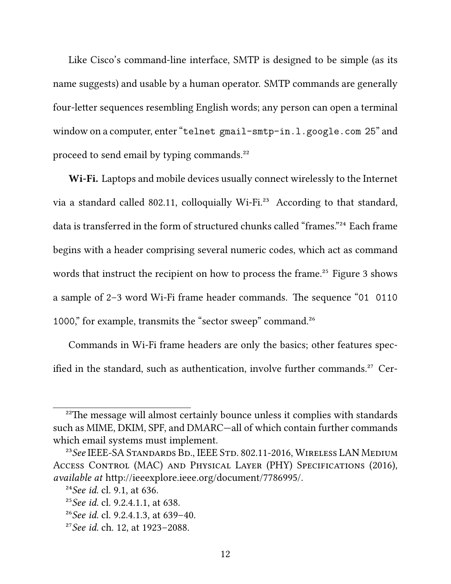Like Cisco's command-line interface, SMTP is designed to be simple (as its name suggests) and usable by a human operator. SMTP commands are generally four-letter sequences resembling English words; any person can open a terminal window on a computer, enter "telnet gmail-smtp-in.l.google.com 25" and proceed to send email by typing commands.<sup>22</sup>

**Wi-Fi.** Laptops and mobile devices usually connect wirelessly to the Internet via a standard called 802.11, colloquially Wi-Fi.<sup>23</sup> According to that standard, data is transferred in the form of structured chunks called "frames."<sup>24</sup> Each frame begins with a header comprising several numeric codes, which act as command words that instruct the recipient on how to process the frame.<sup>25</sup> Figure 3 shows a sample of 2–3 word Wi-Fi frame header commands. The sequence "01 0110 1000," for example, transmits the "sector sweep" command.<sup>26</sup>

Commands in Wi-Fi frame headers are only the basics; other features specified in the standard, such as authentication, involve further commands.<sup>27</sup> Cer-

<sup>&</sup>lt;sup>22</sup>The message will almost certainly bounce unless it complies with standards such as MIME, DKIM, SPF, and DMARC—all of which contain further commands which email systems must implement.

<sup>&</sup>lt;sup>23</sup>See IEEE-SA STANDARDS BD., IEEE STD. 802.11-2016, WIRELESS LAN MEDIUM Access Control (MAC) and Physical Layer (PHY) Specifications (2016), *available at* http://ieeexplore.ieee.org/document/7786995/.

²⁴*See id.* cl. 9.1, at 636.

<sup>&</sup>lt;sup>25</sup>See *id.* cl. 9.2.4.1.1, at 638.

²⁶*See id.* cl. 9.2.4.1.3, at 639–40.

²⁷*See id.* ch. 12, at 1923–2088.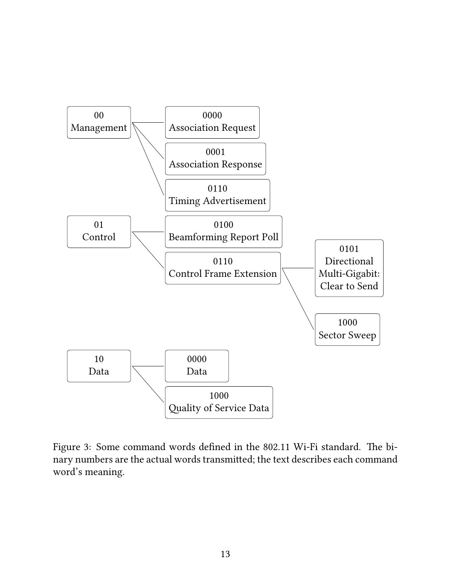

Figure 3: Some command words defined in the 802.11 Wi-Fi standard. The binary numbers are the actual words transmitted; the text describes each command word's meaning.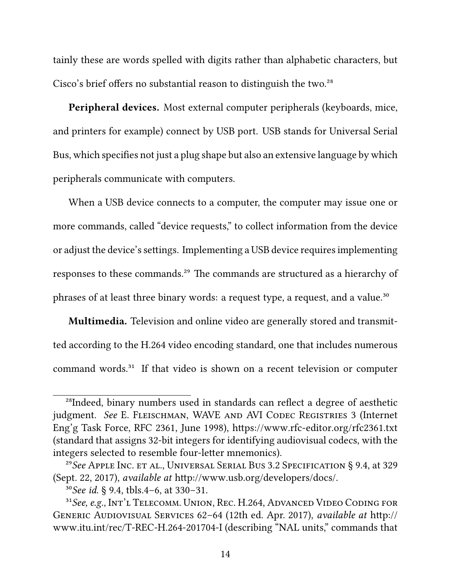tainly these are words spelled with digits rather than alphabetic characters, but Cisco's brief offers no substantial reason to distinguish the two.<sup>28</sup>

**Peripheral devices.** Most external computer peripherals (keyboards, mice, and printers for example) connect by USB port. USB stands for Universal Serial Bus, which specifies not just a plug shape but also an extensive language by which peripherals communicate with computers.

When a USB device connects to a computer, the computer may issue one or more commands, called "device requests," to collect information from the device or adjust the device's settings. Implementing a USB device requires implementing responses to these commands.<sup>29</sup> The commands are structured as a hierarchy of phrases of at least three binary words: a request type, a request, and a value.<sup>30</sup>

**Multimedia.** Television and online video are generally stored and transmitted according to the H.264 video encoding standard, one that includes numerous command words.<sup>31</sup> If that video is shown on a recent television or computer

<sup>&</sup>lt;sup>28</sup>Indeed, binary numbers used in standards can reflect a degree of aesthetic judgment. See E. FLEISCHMAN, WAVE AND AVI CODEC REGISTRIES 3 (Internet Eng'g Task Force, RFC 2361, June 1998), https://www.rfc-editor.org/rfc2361.txt (standard that assigns 32-bit integers for identifying audiovisual codecs, with the integers selected to resemble four-letter mnemonics).

²⁹*See* Apple Inc. et al., Universal Serial Bus 3.2 Specification § 9.4, at 329 (Sept. 22, 2017), *available at* http://www.usb.org/developers/docs/.

³⁰*See id.* § 9.4, tbls.4–6, at 330–31.

<sup>&</sup>lt;sup>31</sup> See, e.g., Int'l Telecomm. Union, Rec. H.264, Advanced Video Coding for Generic Audiovisual Services 62–64 (12th ed. Apr. 2017), *available at* http:// www.itu.int/rec/T-REC-H.264-201704-I (describing "NAL units," commands that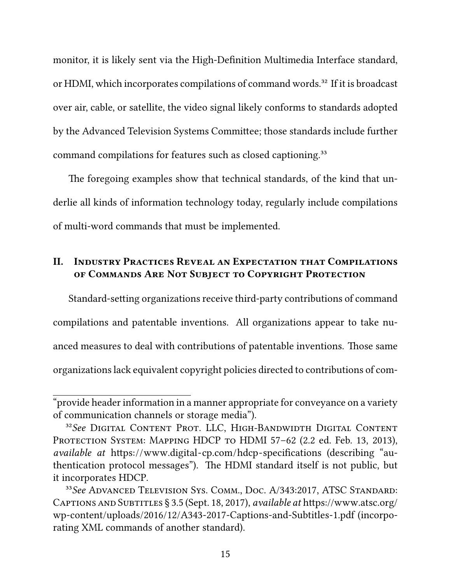monitor, it is likely sent via the High-Definition Multimedia Interface standard, or HDMI, which incorporates compilations of command words.<sup>32</sup> If it is broadcast over air, cable, or satellite, the video signal likely conforms to standards adopted by the Advanced Television Systems Committee; those standards include further command compilations for features such as closed captioning.<sup>33</sup>

The foregoing examples show that technical standards, of the kind that underlie all kinds of information technology today, regularly include compilations of multi-word commands that must be implemented.

## **II. Industry Practices Reveal an Expectation that Compilations of Commands Are Not Subject to Copyright Protection**

Standard-setting organizations receive third-party contributions of command compilations and patentable inventions. All organizations appear to take nuanced measures to deal with contributions of patentable inventions. Those same organizations lack equivalent copyright policies directed to contributions of com-

<sup>&</sup>quot;provide header information in a manner appropriate for conveyance on a variety of communication channels or storage media").

³²*See* Digital Content Prot. LLC, High-Bandwidth Digital Content PROTECTION SYSTEM: MAPPING HDCP TO HDMI 57-62 (2.2 ed. Feb. 13, 2013), *available at* https://www.digital-cp.com/hdcp-specifications (describing "authentication protocol messages"). The HDMI standard itself is not public, but it incorporates HDCP.

³³*See* Advanced Television Sys. Comm., Doc. A/343:2017, ATSC Standard: Captions and Subtitles § 3.5 (Sept. 18, 2017), *available at* https://www.atsc.org/ wp-content/uploads/2016/12/A343-2017-Captions-and-Subtitles-1.pdf (incorporating XML commands of another standard).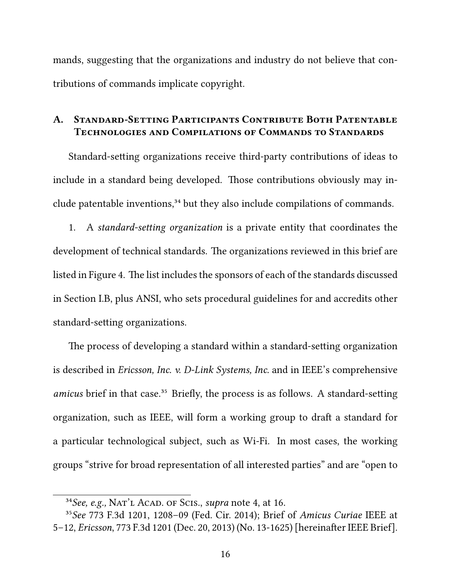mands, suggesting that the organizations and industry do not believe that contributions of commands implicate copyright.

#### **A. Standard-Setting Participants Contribute Both Patentable Technologies and Compilations of Commands to Standards**

Standard-setting organizations receive third-party contributions of ideas to include in a standard being developed. Those contributions obviously may include patentable inventions,<sup>34</sup> but they also include compilations of commands.

1. A *standard-setting organization* is a private entity that coordinates the development of technical standards. The organizations reviewed in this brief are listed in Figure 4. The list includes the sponsors of each of the standards discussed in Section I.B, plus ANSI, who sets procedural guidelines for and accredits other standard-setting organizations.

The process of developing a standard within a standard-setting organization is described in *Ericsson, Inc. v. D-Link Systems, Inc.* and in IEEE's comprehensive *amicus* brief in that case.<sup>35</sup> Briefly, the process is as follows. A standard-setting organization, such as IEEE, will form a working group to draft a standard for a particular technological subject, such as Wi-Fi. In most cases, the working groups "strive for broad representation of all interested parties" and are "open to

³⁴*See, e.g.,* Nat'l Acad. of Scis., *supra* note 4, at 16.

³⁵*See* 773 F.3d 1201, 1208–09 (Fed. Cir. 2014); Brief of *Amicus Curiae* IEEE at 5–12, *Ericsson*, 773 F.3d 1201 (Dec. 20, 2013) (No. 13-1625) [hereinafter IEEE Brief].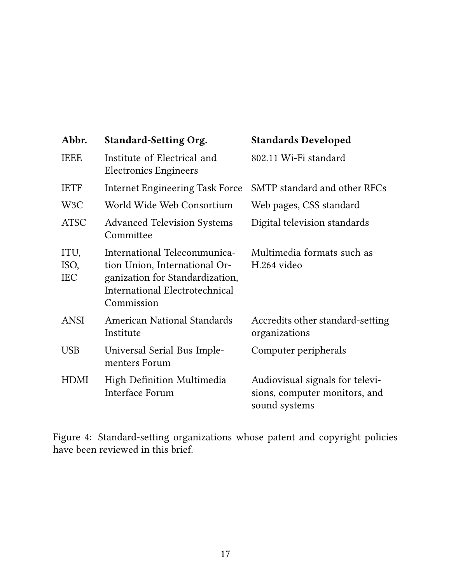| Abbr.                      | <b>Standard-Setting Org.</b>                                                                                                                     | <b>Standards Developed</b>                                                        |
|----------------------------|--------------------------------------------------------------------------------------------------------------------------------------------------|-----------------------------------------------------------------------------------|
| <b>IEEE</b>                | Institute of Electrical and<br><b>Electronics Engineers</b>                                                                                      | 802.11 Wi-Fi standard                                                             |
| <b>IETF</b>                | <b>Internet Engineering Task Force</b>                                                                                                           | SMTP standard and other RFCs                                                      |
| W <sub>3</sub> C           | World Wide Web Consortium                                                                                                                        | Web pages, CSS standard                                                           |
| <b>ATSC</b>                | <b>Advanced Television Systems</b><br>Committee                                                                                                  | Digital television standards                                                      |
| ITU,<br>ISO,<br><b>IEC</b> | International Telecommunica-<br>tion Union, International Or-<br>ganization for Standardization,<br>International Electrotechnical<br>Commission | Multimedia formats such as<br>H.264 video                                         |
| <b>ANSI</b>                | <b>American National Standards</b><br>Institute                                                                                                  | Accredits other standard-setting<br>organizations                                 |
| <b>USB</b>                 | Universal Serial Bus Imple-<br>menters Forum                                                                                                     | Computer peripherals                                                              |
| <b>HDMI</b>                | High Definition Multimedia<br><b>Interface Forum</b>                                                                                             | Audiovisual signals for televi-<br>sions, computer monitors, and<br>sound systems |

Figure 4: Standard-setting organizations whose patent and copyright policies have been reviewed in this brief.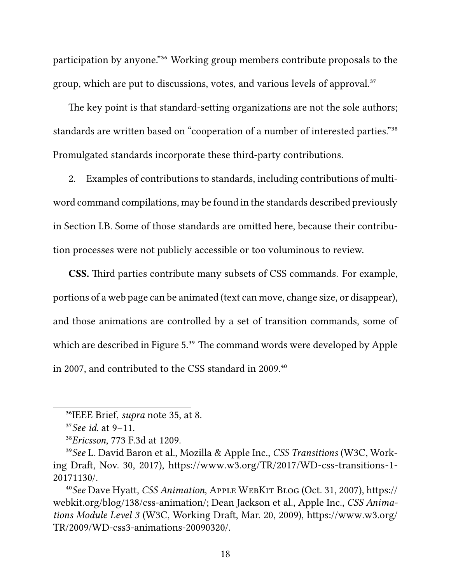participation by anyone."<sup>36</sup> Working group members contribute proposals to the group, which are put to discussions, votes, and various levels of approval.<sup>37</sup>

The key point is that standard-setting organizations are not the sole authors; standards are written based on "cooperation of a number of interested parties."<sup>38</sup> Promulgated standards incorporate these third-party contributions.

2. Examples of contributions to standards, including contributions of multiword command compilations, may be found in the standards described previously in Section I.B. Some of those standards are omitted here, because their contribution processes were not publicly accessible or too voluminous to review.

**CSS.** Third parties contribute many subsets of CSS commands. For example, portions of a web page can be animated (text can move, change size, or disappear), and those animations are controlled by a set of transition commands, some of which are described in Figure 5.<sup>39</sup> The command words were developed by Apple in 2007, and contributed to the CSS standard in 2009.<sup>40</sup>

<sup>&</sup>lt;sup>36</sup>IEEE Brief, *supra* note 35, at 8.

³⁷*See id.* at 9–11.

³⁸*Ericsson*, 773 F.3d at 1209.

³⁹*See* L. David Baron et al., Mozilla & Apple Inc., *CSS Transitions* (W3C, Working Draft, Nov. 30, 2017), https://www.w3.org/TR/2017/WD-css-transitions-1- 20171130/.

⁴⁰*See* Dave Hyatt, *CSS Animation*, Apple WebKit Blog (Oct. 31, 2007), https:// webkit.org/blog/138/css-animation/; Dean Jackson et al., Apple Inc., *CSS Animations Module Level 3* (W3C, Working Draft, Mar. 20, 2009), https://www.w3.org/ TR/2009/WD-css3-animations-20090320/.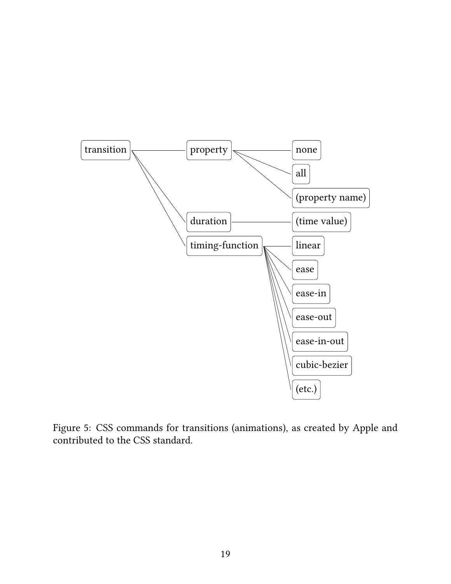

Figure 5: CSS commands for transitions (animations), as created by Apple and contributed to the CSS standard.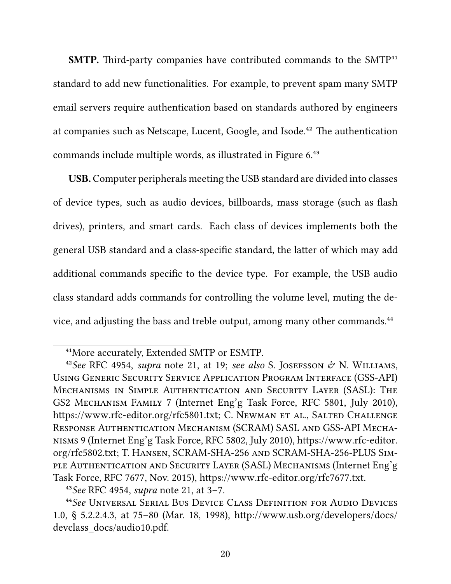**SMTP.** Third-party companies have contributed commands to the SMTP<sup>41</sup> standard to add new functionalities. For example, to prevent spam many SMTP email servers require authentication based on standards authored by engineers at companies such as Netscape, Lucent, Google, and Isode.<sup>42</sup> The authentication commands include multiple words, as illustrated in Figure 6.<sup>43</sup>

**USB.** Computer peripherals meeting the USB standard are divided into classes of device types, such as audio devices, billboards, mass storage (such as flash drives), printers, and smart cards. Each class of devices implements both the general USB standard and a class-specific standard, the latter of which may add additional commands specific to the device type. For example, the USB audio class standard adds commands for controlling the volume level, muting the device, and adjusting the bass and treble output, among many other commands.<sup>44</sup>

<sup>&</sup>lt;sup>41</sup>More accurately, Extended SMTP or ESMTP.

<sup>&</sup>lt;sup>42</sup>See RFC 4954, *supra* note 21, at 19; *see also* S. JOSEFSSON  $\phi$  N. WILLIAMS, Using Generic Security Service Application Program Interface (GSS-API) Mechanisms in Simple Authentication and Security Layer (SASL): The GS2 Mechanism Family 7 (Internet Eng'g Task Force, RFC 5801, July 2010), https://www.rfc-editor.org/rfc5801.txt; C. Newman et al., Salted Challenge Response Authentication Mechanism (SCRAM) SASL and GSS-API Mechanisms 9 (Internet Eng'g Task Force, RFC 5802, July 2010), https://www.rfc-editor. org/rfc5802.txt; T. Hansen, SCRAM-SHA-256 and SCRAM-SHA-256-PLUS Simple Authentication and Security Layer (SASL) Mechanisms (Internet Eng'g Task Force, RFC 7677, Nov. 2015), https://www.rfc-editor.org/rfc7677.txt.

⁴³*See* RFC 4954, *supra* note 21, at 3–7.

⁴⁴*See* Universal Serial Bus Device Class Definition for Audio Devices 1.0, § 5.2.2.4.3, at 75–80 (Mar. 18, 1998), http://www.usb.org/developers/docs/ devclass\_docs/audio10.pdf.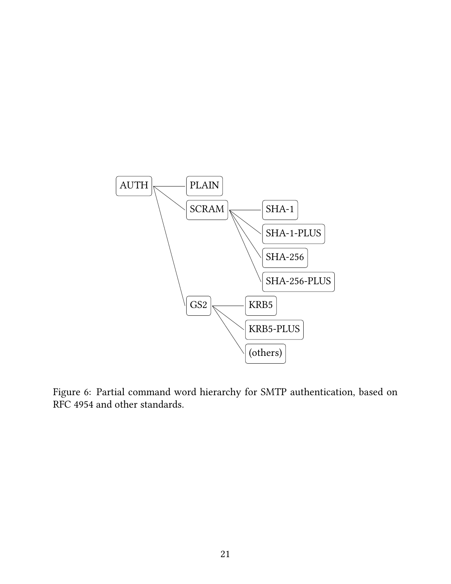

Figure 6: Partial command word hierarchy for SMTP authentication, based on RFC 4954 and other standards.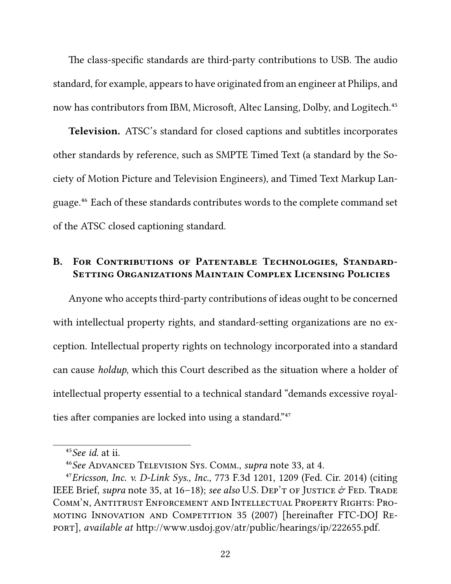The class-specific standards are third-party contributions to USB. The audio standard, for example, appears to have originated from an engineer at Philips, and now has contributors from IBM, Microsoft, Altec Lansing, Dolby, and Logitech.<sup>45</sup>

**Television.** ATSC's standard for closed captions and subtitles incorporates other standards by reference, such as SMPTE Timed Text (a standard by the Society of Motion Picture and Television Engineers), and Timed Text Markup Language.⁴⁶ Each of these standards contributes words to the complete command set of the ATSC closed captioning standard.

#### B. FOR CONTRIBUTIONS OF PATENTABLE TECHNOLOGIES, STANDARD-**Setting Organizations Maintain Complex Licensing Policies**

Anyone who accepts third-party contributions of ideas ought to be concerned with intellectual property rights, and standard-setting organizations are no exception. Intellectual property rights on technology incorporated into a standard can cause *holdup*, which this Court described as the situation where a holder of intellectual property essential to a technical standard "demands excessive royalties after companies are locked into using a standard."<sup>47</sup>

⁴⁵*See id.* at ii.

⁴⁶*See* Advanced Television Sys. Comm., *supra* note 33, at 4.

⁴⁷*Ericsson, Inc. v. D-Link Sys., Inc.*, 773 F.3d 1201, 1209 (Fed. Cir. 2014) (citing IEEE Brief, *supra* note 35, at 16–18); *see also* U.S. Dep't of Justice  $\mathcal{O}$  Fed. Trade Comm'n, Antitrust Enforcement and Intellectual Property Rights: Promoting Innovation and Competition 35 (2007) [hereinafter FTC-DOJ Report], *available at* http://www.usdoj.gov/atr/public/hearings/ip/222655.pdf.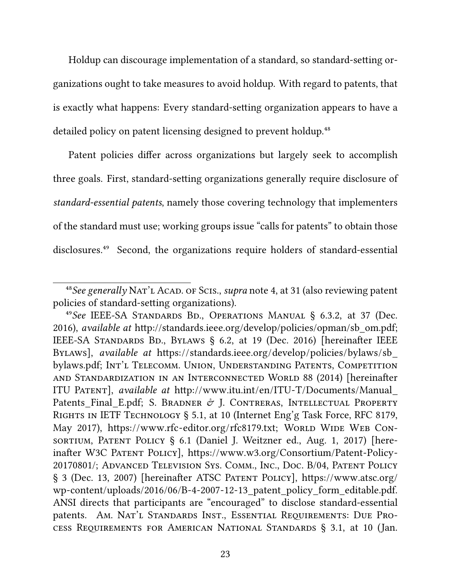Holdup can discourage implementation of a standard, so standard-setting organizations ought to take measures to avoid holdup. With regard to patents, that is exactly what happens: Every standard-setting organization appears to have a detailed policy on patent licensing designed to prevent holdup.<sup>48</sup>

Patent policies differ across organizations but largely seek to accomplish three goals. First, standard-setting organizations generally require disclosure of *standard-essential patents*, namely those covering technology that implementers of the standard must use; working groups issue "calls for patents" to obtain those disclosures.<sup>49</sup> Second, the organizations require holders of standard-essential

<sup>&</sup>lt;sup>48</sup> See generally NAT'L ACAD. OF SCIS., *supra* note 4, at 31 (also reviewing patent policies of standard-setting organizations).

⁴⁹*See* IEEE-SA Standards Bd., Operations Manual § 6.3.2, at 37 (Dec. 2016), *available at* http://standards.ieee.org/develop/policies/opman/sb\_om.pdf; IEEE-SA STANDARDS BD., BYLAWS § 6.2, at 19 (Dec. 2016) [hereinafter IEEE Bylaws], *available at* https://standards.ieee.org/develop/policies/bylaws/sb\_ bylaws.pdf; Int'l Telecomm. Union, Understanding Patents, Competition and Standardization in an Interconnected World 88 (2014) [hereinafter ITU Patent], *available at* http://www.itu.int/en/ITU-T/Documents/Manual\_ Patents Final E.pdf; S. BRADNER  $\mathcal O$  J. CONTRERAS, INTELLECTUAL PROPERTY Rights in IETF Technology § 5.1, at 10 (Internet Eng'g Task Force, RFC 8179, May 2017), https://www.rfc-editor.org/rfc8179.txt; World WIDE WEB Consortium, Patent Policy § 6.1 (Daniel J. Weitzner ed., Aug. 1, 2017) [hereinafter W3C Patent Policy], https://www.w3.org/Consortium/Patent-Policy-20170801/; Advanced Television Sys. Comm., Inc., Doc. B/04, Patent Policy § 3 (Dec. 13, 2007) [hereinafter ATSC Patent Policy], https://www.atsc.org/ wp-content/uploads/2016/06/B-4-2007-12-13 patent policy form editable.pdf. ANSI directs that participants are "encouraged" to disclose standard-essential patents. Am. Nat'l Standards Inst., Essential Requirements: Due Process Requirements for American National Standards § 3.1, at 10 (Jan.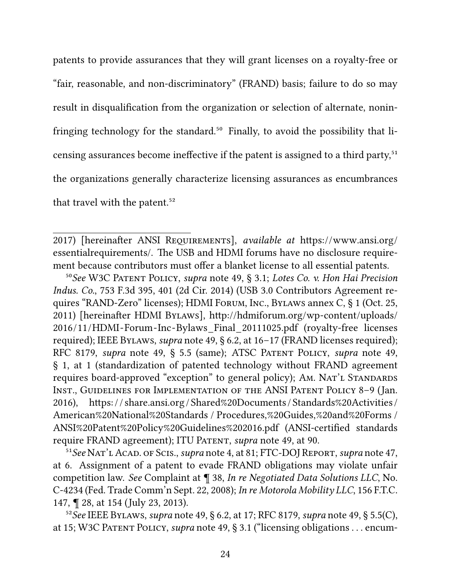patents to provide assurances that they will grant licenses on a royalty-free or "fair, reasonable, and non-discriminatory" (FRAND) basis; failure to do so may result in disqualification from the organization or selection of alternate, noninfringing technology for the standard. ${}^{50}$  Finally, to avoid the possibility that licensing assurances become ineffective if the patent is assigned to a third party,<sup>51</sup> the organizations generally characterize licensing assurances as encumbrances that travel with the patent.<sup>52</sup>

2017) [hereinafter ANSI Requirements], *available at* https://www.ansi.org/ essentialrequirements/. The USB and HDMI forums have no disclosure requirement because contributors must offer a blanket license to all essential patents.

⁵⁰*See* W3C Patent Policy, *supra* note 49, § 3.1; *Lotes Co. v. Hon Hai Precision Indus. Co.*, 753 F.3d 395, 401 (2d Cir. 2014) (USB 3.0 Contributors Agreement requires "RAND-Zero" licenses); HDMI Forum, Inc., Bylaws annex C, § 1 (Oct. 25, 2011) [hereinafter HDMI Bylaws], http://hdmiforum.org/wp-content/uploads/ 2016/11/HDMI-Forum-Inc-Bylaws\_Final\_20111025.pdf (royalty-free licenses required); IEEE Bylaws, *supra* note 49, § 6.2, at 16–17 (FRAND licenses required); RFC 8179, *supra* note 49, § 5.5 (same); ATSC Patent Policy, *supra* note 49, § 1, at 1 (standardization of patented technology without FRAND agreement requires board-approved "exception" to general policy); Am. NAT'L STANDARDS Inst., Guidelines for Implementation of the ANSI Patent Policy 8–9 (Jan. 2016), https: / / share.ansi.org / Shared%20Documents / Standards%20Activities / American%20National%20Standards / Procedures,%20Guides,%20and%20Forms / ANSI%20Patent%20Policy%20Guidelines%202016.pdf (ANSI-certified standards require FRAND agreement); ITU PATENT, *supra* note 49, at 90.

<sup>51</sup> See NAT'L ACAD. OF SCIS., *supra* note 4, at 81; FTC-DOJ REPORT, *supra* note 47, at 6. Assignment of a patent to evade FRAND obligations may violate unfair competition law. *See* Complaint at ¶ 38, *In re Negotiated Data Solutions LLC*, No. C-4234 (Fed. Trade Comm'n Sept. 22, 2008); *In re Motorola Mobility LLC*, 156 F.T.C. 147, ¶ 28, at 154 (July 23, 2013).

⁵²*See* IEEE Bylaws, *supra* note 49, § 6.2, at 17; RFC 8179, *supra* note 49, § 5.5(C), at 15; W3C Patent Policy, *supra* note 49, § 3.1 ("licensing obligations . . . encum-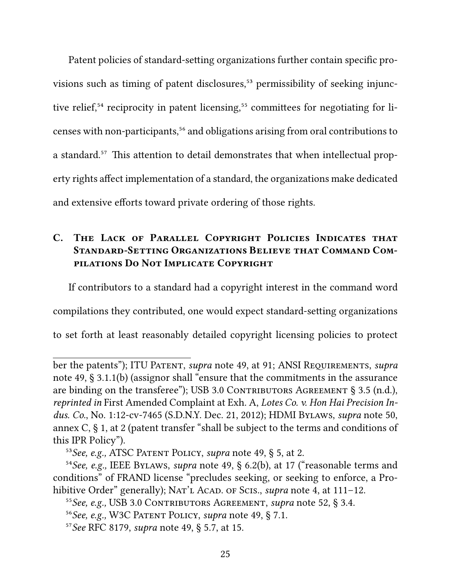Patent policies of standard-setting organizations further contain specific provisions such as timing of patent disclosures,<sup>53</sup> permissibility of seeking injunctive relief, $54$  reciprocity in patent licensing, $55$  committees for negotiating for licenses with non-participants,<sup>56</sup> and obligations arising from oral contributions to a standard.<sup>57</sup> This attention to detail demonstrates that when intellectual property rights affect implementation of a standard, the organizations make dedicated and extensive efforts toward private ordering of those rights.

## **C. The Lack of Parallel Copyright Policies Indicates that Standard-Setting Organizations Believe that Command Compilations Do Not Implicate Copyright**

If contributors to a standard had a copyright interest in the command word

compilations they contributed, one would expect standard-setting organizations

to set forth at least reasonably detailed copyright licensing policies to protect

ber the patents"); ITU Patent, *supra* note 49, at 91; ANSI Requirements, *supra* note 49, § 3.1.1(b) (assignor shall "ensure that the commitments in the assurance are binding on the transferee"); USB 3.0 CONTRIBUTORS AGREEMENT  $\S$  3.5 (n.d.), *reprinted in* First Amended Complaint at Exh. A, *Lotes Co. v. Hon Hai Precision Indus. Co.*, No. 1:12-cv-7465 (S.D.N.Y. Dec. 21, 2012); HDMI Bylaws, *supra* note 50, annex C, § 1, at 2 (patent transfer "shall be subject to the terms and conditions of this IPR Policy").

⁵³*See, e.g.,* ATSC Patent Policy, *supra* note 49, § 5, at 2.

⁵⁴*See, e.g.,* IEEE Bylaws, *supra* note 49, § 6.2(b), at 17 ("reasonable terms and conditions" of FRAND license "precludes seeking, or seeking to enforce, a Prohibitive Order" generally); NAT'L ACAD. OF SCIS., *supra* note 4, at 111–12.

⁵⁵*See, e.g.,* USB 3.0 Contributors Agreement, *supra* note 52, § 3.4.

⁵⁶*See, e.g.,* W3C Patent Policy, *supra* note 49, § 7.1.

⁵⁷*See* RFC 8179, *supra* note 49, § 5.7, at 15.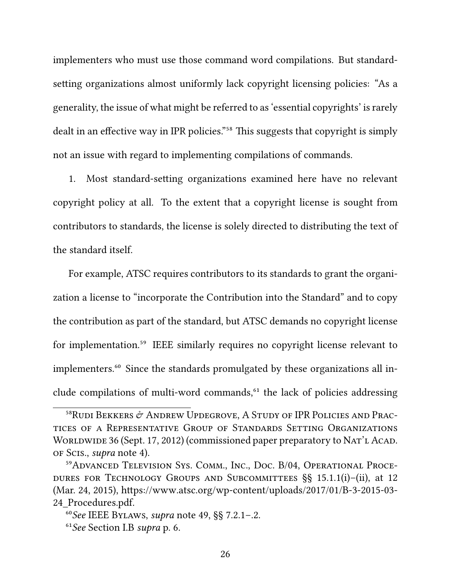implementers who must use those command word compilations. But standardsetting organizations almost uniformly lack copyright licensing policies: "As a generality, the issue of what might be referred to as 'essential copyrights' is rarely dealt in an effective way in IPR policies."<sup>58</sup> This suggests that copyright is simply not an issue with regard to implementing compilations of commands.

1. Most standard-setting organizations examined here have no relevant copyright policy at all. To the extent that a copyright license is sought from contributors to standards, the license is solely directed to distributing the text of the standard itself.

For example, ATSC requires contributors to its standards to grant the organization a license to "incorporate the Contribution into the Standard" and to copy the contribution as part of the standard, but ATSC demands no copyright license for implementation.<sup>59</sup> IEEE similarly requires no copyright license relevant to implementers.<sup>60</sup> Since the standards promulgated by these organizations all include compilations of multi-word commands,<sup>61</sup> the lack of policies addressing

 $^{58}$ Rudi Bekkers  $\acute{\sigma}$  Andrew Updegrove, A Study of IPR Policies and Practices of a Representative Group of Standards Setting Organizations WORLDWIDE 36 (Sept. 17, 2012) (commissioned paper preparatory to NAT'L ACAD. of Scis., *supra* note 4).

<sup>&</sup>lt;sup>59</sup>ADVANCED TELEVISION SYS. COMM., INC., DOC. B/04, OPERATIONAL PROCEdures for Technology Groups and Subcommittees §§ 15.1.1(i)–(ii), at 12 (Mar. 24, 2015), https://www.atsc.org/wp-content/uploads/2017/01/B-3-2015-03- 24\_Procedures.pdf.

⁶⁰*See* IEEE Bylaws, *supra* note 49, §§ 7.2.1–.2.

⁶¹*See* Section I.B *supra* p. 6.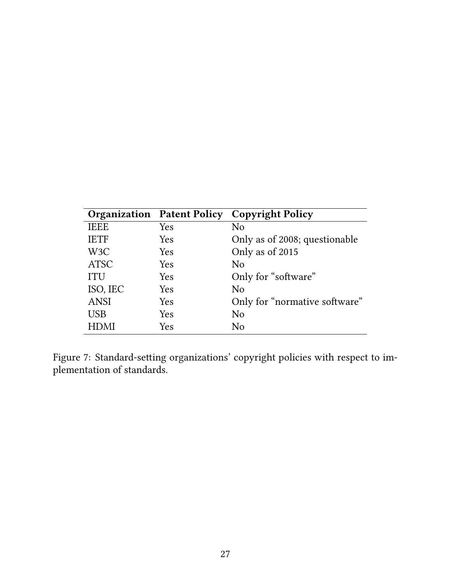|                  | <b>Organization Patent Policy</b> | <b>Copyright Policy</b>       |
|------------------|-----------------------------------|-------------------------------|
| <b>IEEE</b>      | Yes                               | No                            |
| <b>IETF</b>      | Yes                               | Only as of 2008; questionable |
| W <sub>3</sub> C | Yes                               | Only as of 2015               |
| <b>ATSC</b>      | Yes                               | N <sub>0</sub>                |
| <b>ITU</b>       | Yes                               | Only for "software"           |
| ISO, IEC         | Yes                               | N <sub>0</sub>                |
| <b>ANSI</b>      | Yes                               | Only for "normative software" |
| <b>USB</b>       | Yes                               | N <sub>o</sub>                |
| <b>HDMI</b>      | Yes                               | N <sub>0</sub>                |

Figure 7: Standard-setting organizations' copyright policies with respect to implementation of standards.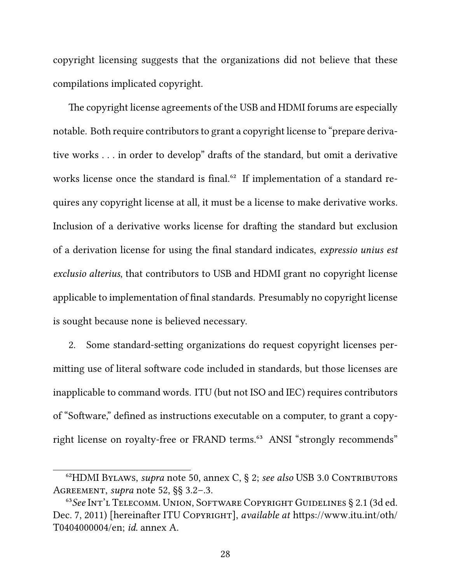copyright licensing suggests that the organizations did not believe that these compilations implicated copyright.

The copyright license agreements of the USB and HDMI forums are especially notable. Both require contributors to grant a copyright license to "prepare derivative works . . . in order to develop" drafts of the standard, but omit a derivative works license once the standard is final.<sup>62</sup> If implementation of a standard requires any copyright license at all, it must be a license to make derivative works. Inclusion of a derivative works license for drafting the standard but exclusion of a derivation license for using the final standard indicates, *expressio unius est exclusio alterius*, that contributors to USB and HDMI grant no copyright license applicable to implementation of final standards. Presumably no copyright license is sought because none is believed necessary.

2. Some standard-setting organizations do request copyright licenses permitting use of literal software code included in standards, but those licenses are inapplicable to command words. ITU (but not ISO and IEC) requires contributors of "Software," defined as instructions executable on a computer, to grant a copyright license on royalty-free or FRAND terms.<sup>63</sup> ANSI "strongly recommends"

⁶²HDMI Bylaws, *supra* note 50, annex C, § 2; *see also* USB 3.0 Contributors Agreement, *supra* note 52, §§ 3.2–.3.

<sup>&</sup>lt;sup>63</sup>See Int'l Telecomm. Union, Software Copyright Guidelines § 2.1 (3d ed. Dec. 7, 2011) [hereinafter ITU Copyright], *available at* https://www.itu.int/oth/ T0404000004/en; *id.* annex A.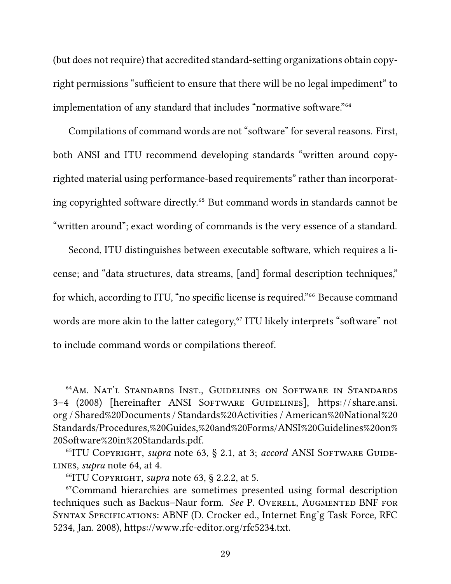(but does not require) that accredited standard-setting organizations obtain copyright permissions "sufficient to ensure that there will be no legal impediment" to implementation of any standard that includes "normative software."<sup>64</sup>

Compilations of command words are not "software" for several reasons. First, both ANSI and ITU recommend developing standards "written around copyrighted material using performance-based requirements" rather than incorporating copyrighted software directly.<sup>65</sup> But command words in standards cannot be "written around"; exact wording of commands is the very essence of a standard.

Second, ITU distinguishes between executable software, which requires a license; and "data structures, data streams, [and] formal description techniques," for which, according to ITU, "no specific license is required."<sup>66</sup> Because command words are more akin to the latter category,<sup>67</sup> ITU likely interprets "software" not to include command words or compilations thereof.

<sup>&</sup>lt;sup>64</sup>Am. Nat'l Standards Inst., Guidelines on Software in Standards 3-4 (2008) [hereinafter ANSI SOFTWARE GUIDELINES], https://share.ansi. org / Shared%20Documents / Standards%20Activities / American%20National%20 Standards/Procedures,%20Guides,%20and%20Forms/ANSI%20Guidelines%20on% 20Software%20in%20Standards.pdf.

<sup>&</sup>lt;sup>65</sup>ITU COPYRIGHT, *supra* note 63, § 2.1, at 3; *accord* ANSI SOFTWARE GUIDElines, *supra* note 64, at 4.

⁶⁶ITU Copyright, *supra* note 63, § 2.2.2, at 5.

⁶⁷Command hierarchies are sometimes presented using formal description techniques such as Backus-Naur form. *See* P. OVERELL, AUGMENTED BNF FOR Syntax Specifications: ABNF (D. Crocker ed., Internet Eng'g Task Force, RFC 5234, Jan. 2008), https://www.rfc-editor.org/rfc5234.txt.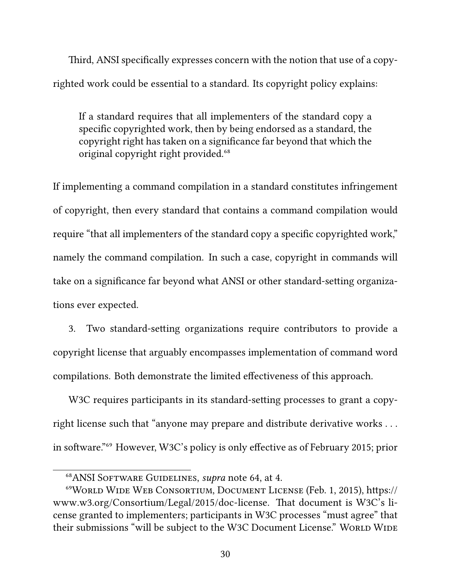Third, ANSI specifically expresses concern with the notion that use of a copyrighted work could be essential to a standard. Its copyright policy explains:

If a standard requires that all implementers of the standard copy a specific copyrighted work, then by being endorsed as a standard, the copyright right has taken on a significance far beyond that which the original copyright right provided.<sup>68</sup>

If implementing a command compilation in a standard constitutes infringement of copyright, then every standard that contains a command compilation would require "that all implementers of the standard copy a specific copyrighted work," namely the command compilation. In such a case, copyright in commands will take on a significance far beyond what ANSI or other standard-setting organizations ever expected.

3. Two standard-setting organizations require contributors to provide a copyright license that arguably encompasses implementation of command word compilations. Both demonstrate the limited effectiveness of this approach.

W<sub>3</sub>C requires participants in its standard-setting processes to grant a copyright license such that "anyone may prepare and distribute derivative works . . . in software."<sup>69</sup> However, W3C's policy is only effective as of February 2015; prior

⁶⁸ANSI Software Guidelines, *supra* note 64, at 4.

⁶⁹World Wide Web Consortium, Document License (Feb. 1, 2015), https:// www.w3.org/Consortium/Legal/2015/doc-license. That document is W3C's license granted to implementers; participants in W3C processes "must agree" that their submissions "will be subject to the W3C Document License." WORLD WIDE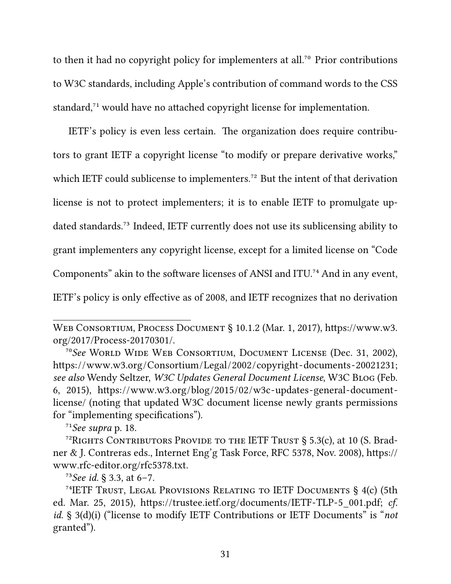to then it had no copyright policy for implementers at all.<sup>70</sup> Prior contributions to W3C standards, including Apple's contribution of command words to the CSS standard,<sup>71</sup> would have no attached copyright license for implementation.

IETF's policy is even less certain. The organization does require contributors to grant IETF a copyright license "to modify or prepare derivative works," which IETF could sublicense to implementers.<sup>72</sup> But the intent of that derivation license is not to protect implementers; it is to enable IETF to promulgate updated standards.<sup>73</sup> Indeed, IETF currently does not use its sublicensing ability to grant implementers any copyright license, except for a limited license on "Code Components" akin to the software licenses of ANSI and ITU.<sup>74</sup> And in any event, IETF's policy is only effective as of 2008, and IETF recognizes that no derivation

 $71$ See supra p. 18.

Web Consortium, Process Document § 10.1.2 (Mar. 1, 2017), https://www.w3. org/2017/Process-20170301/.

⁷⁰*See* World Wide Web Consortium, Document License (Dec. 31, 2002), https://www.w3.org/Consortium/Legal/2002/copyright-documents-20021231; *see also* Wendy Seltzer, *W3C Updates General Document License*, W3C Blog (Feb. 6, 2015), https://www.w3.org/blog/2015/02/w3c-updates-general-documentlicense/ (noting that updated W3C document license newly grants permissions for "implementing specifications").

<sup>&</sup>lt;sup>72</sup>RIGHTS CONTRIBUTORS PROVIDE TO THE IETF TRUST § 5.3(c), at 10 (S. Bradner & J. Contreras eds., Internet Eng'g Task Force, RFC 5378, Nov. 2008), https:// www.rfc-editor.org/rfc5378.txt.

 $^{73}$ *See id.* § 3.3, at 6-7.

<sup>&</sup>lt;sup>74</sup>IETF TRUST, LEGAL PROVISIONS RELATING TO IETF DOCUMENTS  $\S$  4(c) (5th ed. Mar. 25, 2015), https://trustee.ietf.org/documents/IETF-TLP-5\_001.pdf; *cf. id.* § 3(d)(i) ("license to modify IETF Contributions or IETF Documents" is "*not* granted").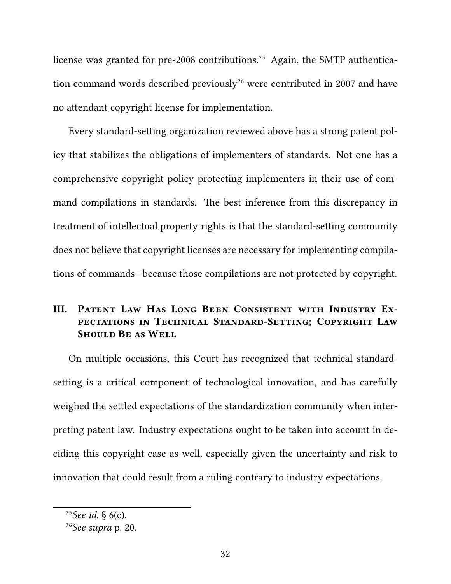license was granted for pre-2008 contributions.<sup>75</sup> Again, the SMTP authentication command words described previously<sup>76</sup> were contributed in 2007 and have no attendant copyright license for implementation.

Every standard-setting organization reviewed above has a strong patent policy that stabilizes the obligations of implementers of standards. Not one has a comprehensive copyright policy protecting implementers in their use of command compilations in standards. The best inference from this discrepancy in treatment of intellectual property rights is that the standard-setting community does not believe that copyright licenses are necessary for implementing compilations of commands—because those compilations are not protected by copyright.

## **III. Patent Law Has Long Been Consistent with Industry Expectations in Technical Standard-Setting; Copyright Law SHOULD BE AS WELL**

On multiple occasions, this Court has recognized that technical standardsetting is a critical component of technological innovation, and has carefully weighed the settled expectations of the standardization community when interpreting patent law. Industry expectations ought to be taken into account in deciding this copyright case as well, especially given the uncertainty and risk to innovation that could result from a ruling contrary to industry expectations.

 $^{75}$ *See id.* § 6(c).

⁷⁶*See supra* p. 20.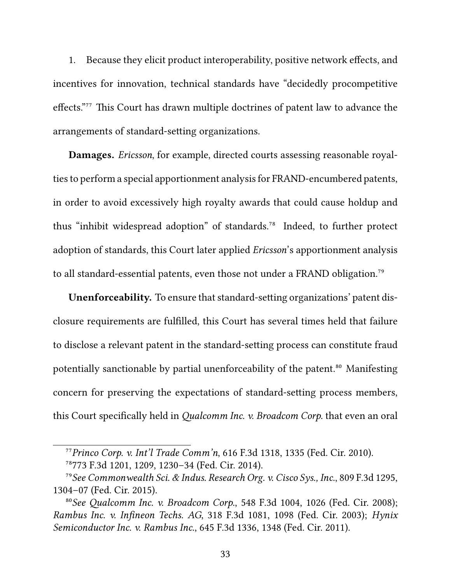1. Because they elicit product interoperability, positive network effects, and incentives for innovation, technical standards have "decidedly procompetitive effects."<sup>77</sup> This Court has drawn multiple doctrines of patent law to advance the arrangements of standard-setting organizations.

**Damages.** *Ericsson*, for example, directed courts assessing reasonable royalties to perform a special apportionment analysis for FRAND-encumbered patents, in order to avoid excessively high royalty awards that could cause holdup and thus "inhibit widespread adoption" of standards.<sup>78</sup> Indeed, to further protect adoption of standards, this Court later applied *Ericsson*'s apportionment analysis to all standard-essential patents, even those not under a FRAND obligation.<sup>79</sup>

**Unenforceability.** To ensure that standard-setting organizations' patent disclosure requirements are fulfilled, this Court has several times held that failure to disclose a relevant patent in the standard-setting process can constitute fraud potentially sanctionable by partial unenforceability of the patent.<sup>80</sup> Manifesting concern for preserving the expectations of standard-setting process members, this Court specifically held in *Qualcomm Inc. v. Broadcom Corp.* that even an oral

⁷⁷*Princo Corp. v. Int'l Trade Comm'n*, 616 F.3d 1318, 1335 (Fed. Cir. 2010).

⁷⁸773 F.3d 1201, 1209, 1230–34 (Fed. Cir. 2014).

⁷⁹*See Commonwealth Sci. & Indus. Research Org. v. Cisco Sys., Inc.*, 809 F.3d 1295, 1304–07 (Fed. Cir. 2015).

⁸⁰*See Qualcomm Inc. v. Broadcom Corp.*, 548 F.3d 1004, 1026 (Fed. Cir. 2008); *Rambus Inc. v. Infineon Techs. AG*, 318 F.3d 1081, 1098 (Fed. Cir. 2003); *Hynix Semiconductor Inc. v. Rambus Inc.*, 645 F.3d 1336, 1348 (Fed. Cir. 2011).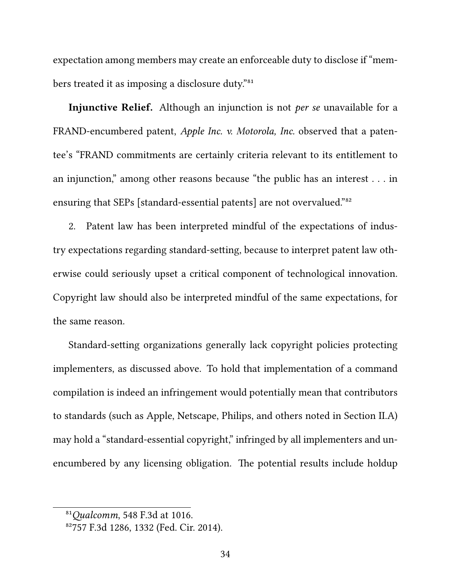expectation among members may create an enforceable duty to disclose if "members treated it as imposing a disclosure duty."<sup>81</sup>

**Injunctive Relief.** Although an injunction is not *per se* unavailable for a FRAND-encumbered patent, *Apple Inc. v. Motorola, Inc.* observed that a patentee's "FRAND commitments are certainly criteria relevant to its entitlement to an injunction," among other reasons because "the public has an interest . . . in ensuring that SEPs [standard-essential patents] are not overvalued."<sup>82</sup>

2. Patent law has been interpreted mindful of the expectations of industry expectations regarding standard-setting, because to interpret patent law otherwise could seriously upset a critical component of technological innovation. Copyright law should also be interpreted mindful of the same expectations, for the same reason.

Standard-setting organizations generally lack copyright policies protecting implementers, as discussed above. To hold that implementation of a command compilation is indeed an infringement would potentially mean that contributors to standards (such as Apple, Netscape, Philips, and others noted in Section II.A) may hold a "standard-essential copyright," infringed by all implementers and unencumbered by any licensing obligation. The potential results include holdup

⁸¹*Qualcomm*, 548 F.3d at 1016.

⁸²757 F.3d 1286, 1332 (Fed. Cir. 2014).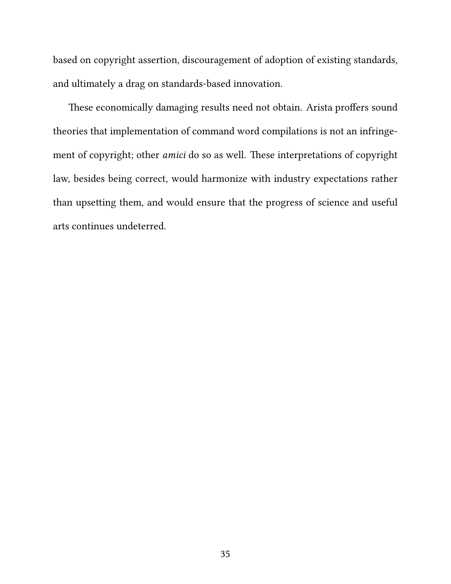based on copyright assertion, discouragement of adoption of existing standards, and ultimately a drag on standards-based innovation.

These economically damaging results need not obtain. Arista proffers sound theories that implementation of command word compilations is not an infringement of copyright; other *amici* do so as well. These interpretations of copyright law, besides being correct, would harmonize with industry expectations rather than upsetting them, and would ensure that the progress of science and useful arts continues undeterred.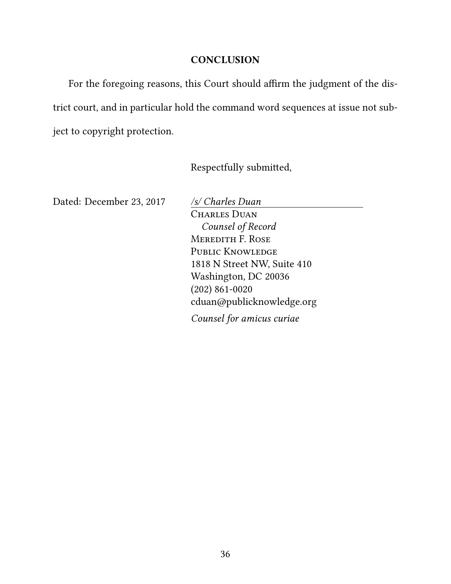#### **CONCLUSION**

For the foregoing reasons, this Court should affirm the judgment of the district court, and in particular hold the command word sequences at issue not subject to copyright protection.

Respectfully submitted,

Dated: December 23, 2017 */s/ Charles Duan*

CHARLES DUAN *Counsel of Record* Meredith F. Rose PUBLIC KNOWLEDGE 1818 N Street NW, Suite 410 Washington, DC 20036 (202) 861-0020 cduan@publicknowledge.org *Counsel for amicus curiae*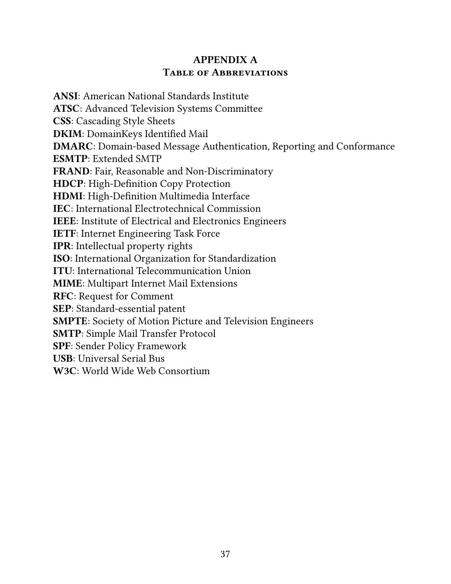## **APPENDIX A Table of Abbreviations**

**ANSI**: American National Standards Institute **ATSC**: Advanced Television Systems Committee **CSS**: Cascading Style Sheets **DKIM**: DomainKeys Identified Mail **DMARC**: Domain-based Message Authentication, Reporting and Conformance **ESMTP**: Extended SMTP **FRAND**: Fair, Reasonable and Non-Discriminatory **HDCP**: High-Definition Copy Protection **HDMI**: High-Definition Multimedia Interface **IEC**: International Electrotechnical Commission **IEEE**: Institute of Electrical and Electronics Engineers **IETF**: Internet Engineering Task Force **IPR**: Intellectual property rights **ISO**: International Organization for Standardization **ITU**: International Telecommunication Union **MIME**: Multipart Internet Mail Extensions **RFC**: Request for Comment **SEP**: Standard-essential patent **SMPTE**: Society of Motion Picture and Television Engineers **SMTP**: Simple Mail Transfer Protocol **SPF**: Sender Policy Framework **USB**: Universal Serial Bus **W3C**: World Wide Web Consortium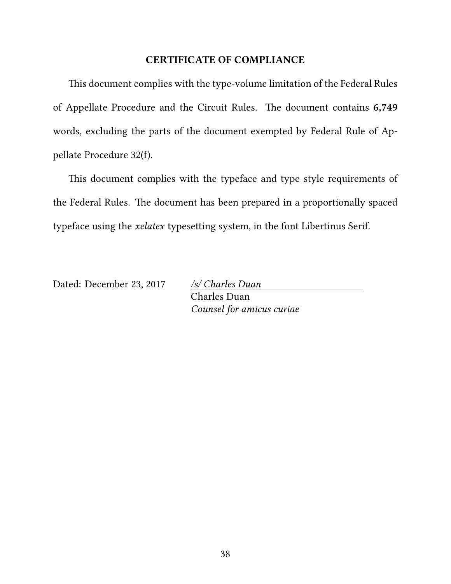#### **CERTIFICATE OF COMPLIANCE**

This document complies with the type-volume limitation of the Federal Rules of Appellate Procedure and the Circuit Rules. The document contains **6,749** words, excluding the parts of the document exempted by Federal Rule of Appellate Procedure 32(f).

This document complies with the typeface and type style requirements of the Federal Rules. The document has been prepared in a proportionally spaced typeface using the *xelatex* typesetting system, in the font Libertinus Serif.

Dated: December 23, 2017 */s/ Charles Duan*

Charles Duan *Counsel for amicus curiae*